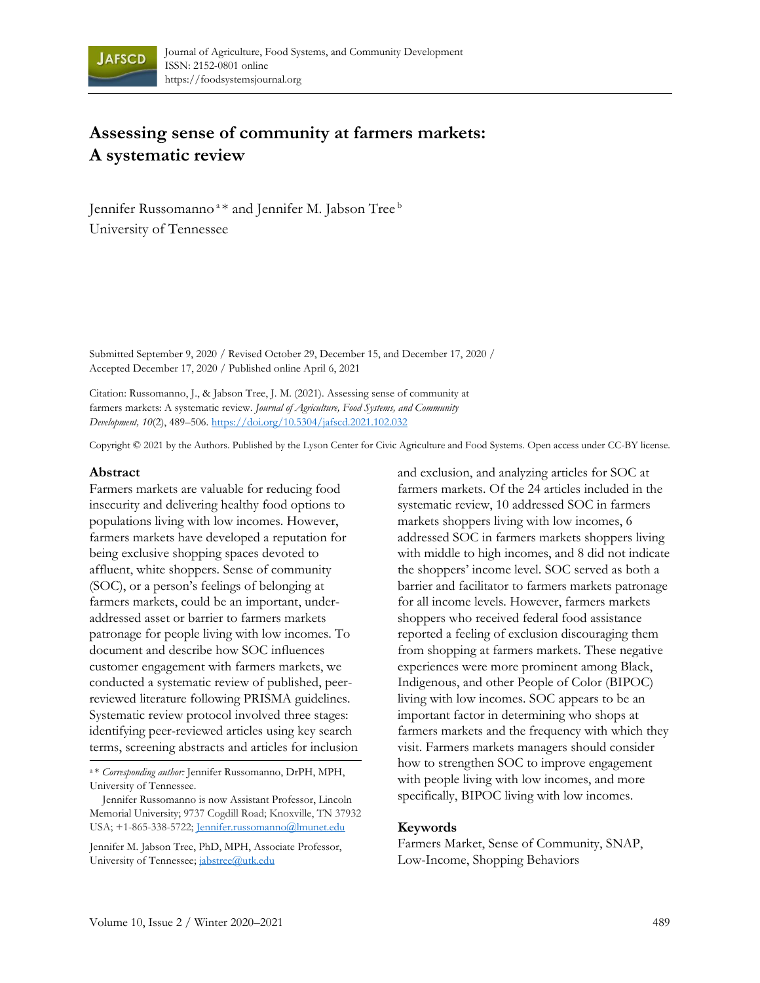

# **Assessing sense of community at farmers markets: A systematic review**

Jennifer Russomanno<sup>a</sup> \* and Jennifer M. Jabson Tree b University of Tennessee

Submitted September 9, 2020 / Revised October 29, December 15, and December 17, 2020 / Accepted December 17, 2020 / Published online April 6, 2021

Citation: Russomanno, J., & Jabson Tree, J. M. (2021). Assessing sense of community at farmers markets: A systematic review. *Journal of Agriculture, Food Systems, and Community Development, 10*(2), 489–506. https://doi.org/10.5304/jafscd.2021.102.032

Copyright © 2021 by the Authors. Published by the Lyson Center for Civic Agriculture and Food Systems. Open access under CC-BY license.

#### **Abstract**

Farmers markets are valuable for reducing food insecurity and delivering healthy food options to populations living with low incomes. However, farmers markets have developed a reputation for being exclusive shopping spaces devoted to affluent, white shoppers. Sense of community (SOC), or a person's feelings of belonging at farmers markets, could be an important, underaddressed asset or barrier to farmers markets patronage for people living with low incomes. To document and describe how SOC influences customer engagement with farmers markets, we conducted a systematic review of published, peerreviewed literature following PRISMA guidelines. Systematic review protocol involved three stages: identifying peer-reviewed articles using key search terms, screening abstracts and articles for inclusion

<sup>a</sup>\* *Corresponding author:* Jennifer Russomanno, DrPH, MPH, University of Tennessee.

Jennifer M. Jabson Tree, PhD, MPH, Associate Professor, University of Tennessee; jabstree@utk.edu

and exclusion, and analyzing articles for SOC at farmers markets. Of the 24 articles included in the systematic review, 10 addressed SOC in farmers markets shoppers living with low incomes, 6 addressed SOC in farmers markets shoppers living with middle to high incomes, and 8 did not indicate the shoppers' income level. SOC served as both a barrier and facilitator to farmers markets patronage for all income levels. However, farmers markets shoppers who received federal food assistance reported a feeling of exclusion discouraging them from shopping at farmers markets. These negative experiences were more prominent among Black, Indigenous, and other People of Color (BIPOC) living with low incomes. SOC appears to be an important factor in determining who shops at farmers markets and the frequency with which they visit. Farmers markets managers should consider how to strengthen SOC to improve engagement with people living with low incomes, and more specifically, BIPOC living with low incomes.

#### **Keywords**

Farmers Market, Sense of Community, SNAP, Low-Income, Shopping Behaviors

Jennifer Russomanno is now Assistant Professor, Lincoln Memorial University; 9737 Cogdill Road; Knoxville, TN 37932 USA; +1-865-338-5722; Jennifer.russomanno@lmunet.edu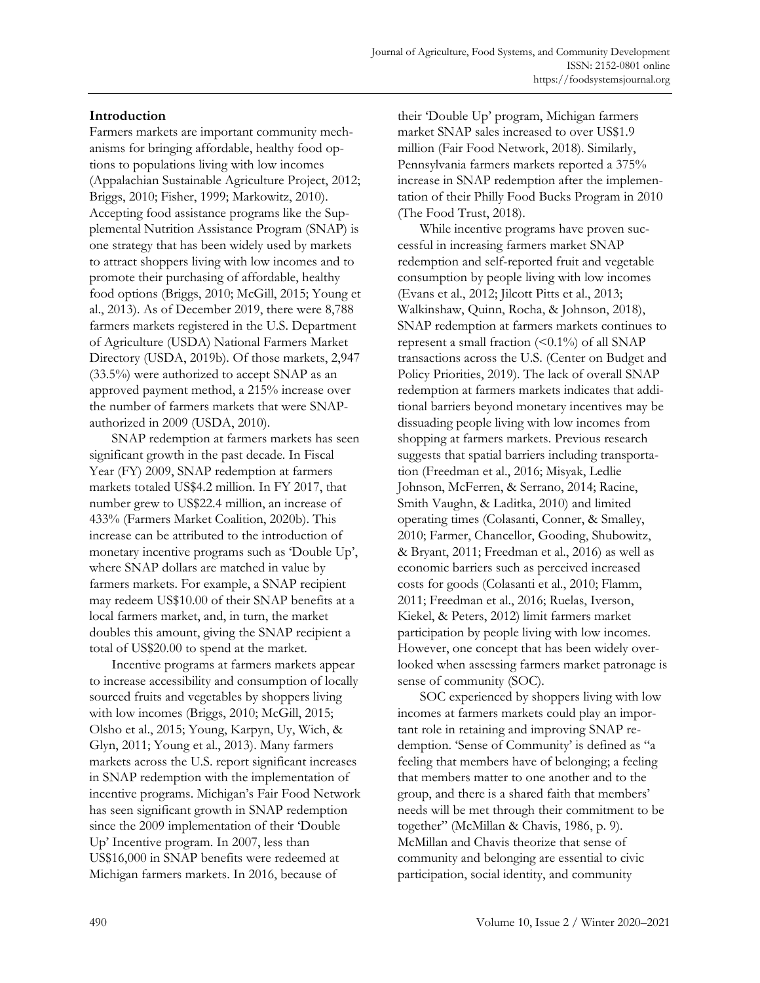## **Introduction**

Farmers markets are important community mechanisms for bringing affordable, healthy food options to populations living with low incomes (Appalachian Sustainable Agriculture Project, 2012; Briggs, 2010; Fisher, 1999; Markowitz, 2010). Accepting food assistance programs like the Supplemental Nutrition Assistance Program (SNAP) is one strategy that has been widely used by markets to attract shoppers living with low incomes and to promote their purchasing of affordable, healthy food options (Briggs, 2010; McGill, 2015; Young et al., 2013). As of December 2019, there were 8,788 farmers markets registered in the U.S. Department of Agriculture (USDA) National Farmers Market Directory (USDA, 2019b). Of those markets, 2,947 (33.5%) were authorized to accept SNAP as an approved payment method, a 215% increase over the number of farmers markets that were SNAPauthorized in 2009 (USDA, 2010).

SNAP redemption at farmers markets has seen significant growth in the past decade. In Fiscal Year (FY) 2009, SNAP redemption at farmers markets totaled US\$4.2 million. In FY 2017, that number grew to US\$22.4 million, an increase of 433% (Farmers Market Coalition, 2020b). This increase can be attributed to the introduction of monetary incentive programs such as 'Double Up', where SNAP dollars are matched in value by farmers markets. For example, a SNAP recipient may redeem US\$10.00 of their SNAP benefits at a local farmers market, and, in turn, the market doubles this amount, giving the SNAP recipient a total of US\$20.00 to spend at the market.

Incentive programs at farmers markets appear to increase accessibility and consumption of locally sourced fruits and vegetables by shoppers living with low incomes (Briggs, 2010; McGill, 2015; Olsho et al., 2015; Young, Karpyn, Uy, Wich, & Glyn, 2011; Young et al., 2013). Many farmers markets across the U.S. report significant increases in SNAP redemption with the implementation of incentive programs. Michigan's Fair Food Network has seen significant growth in SNAP redemption since the 2009 implementation of their 'Double Up' Incentive program. In 2007, less than US\$16,000 in SNAP benefits were redeemed at Michigan farmers markets. In 2016, because of

their 'Double Up' program, Michigan farmers market SNAP sales increased to over US\$1.9 million (Fair Food Network, 2018). Similarly, Pennsylvania farmers markets reported a 375% increase in SNAP redemption after the implementation of their Philly Food Bucks Program in 2010 (The Food Trust, 2018).

While incentive programs have proven successful in increasing farmers market SNAP redemption and self-reported fruit and vegetable consumption by people living with low incomes (Evans et al., 2012; Jilcott Pitts et al., 2013; Walkinshaw, Quinn, Rocha, & Johnson, 2018), SNAP redemption at farmers markets continues to represent a small fraction  $(\leq 0.1\%)$  of all SNAP transactions across the U.S. (Center on Budget and Policy Priorities, 2019). The lack of overall SNAP redemption at farmers markets indicates that additional barriers beyond monetary incentives may be dissuading people living with low incomes from shopping at farmers markets. Previous research suggests that spatial barriers including transportation (Freedman et al., 2016; Misyak, Ledlie Johnson, McFerren, & Serrano, 2014; Racine, Smith Vaughn, & Laditka, 2010) and limited operating times (Colasanti, Conner, & Smalley, 2010; Farmer, Chancellor, Gooding, Shubowitz, & Bryant, 2011; Freedman et al., 2016) as well as economic barriers such as perceived increased costs for goods (Colasanti et al., 2010; Flamm, 2011; Freedman et al., 2016; Ruelas, Iverson, Kiekel, & Peters, 2012) limit farmers market participation by people living with low incomes. However, one concept that has been widely overlooked when assessing farmers market patronage is sense of community (SOC).

SOC experienced by shoppers living with low incomes at farmers markets could play an important role in retaining and improving SNAP redemption. 'Sense of Community' is defined as "a feeling that members have of belonging; a feeling that members matter to one another and to the group, and there is a shared faith that members' needs will be met through their commitment to be together" (McMillan & Chavis, 1986, p. 9). McMillan and Chavis theorize that sense of community and belonging are essential to civic participation, social identity, and community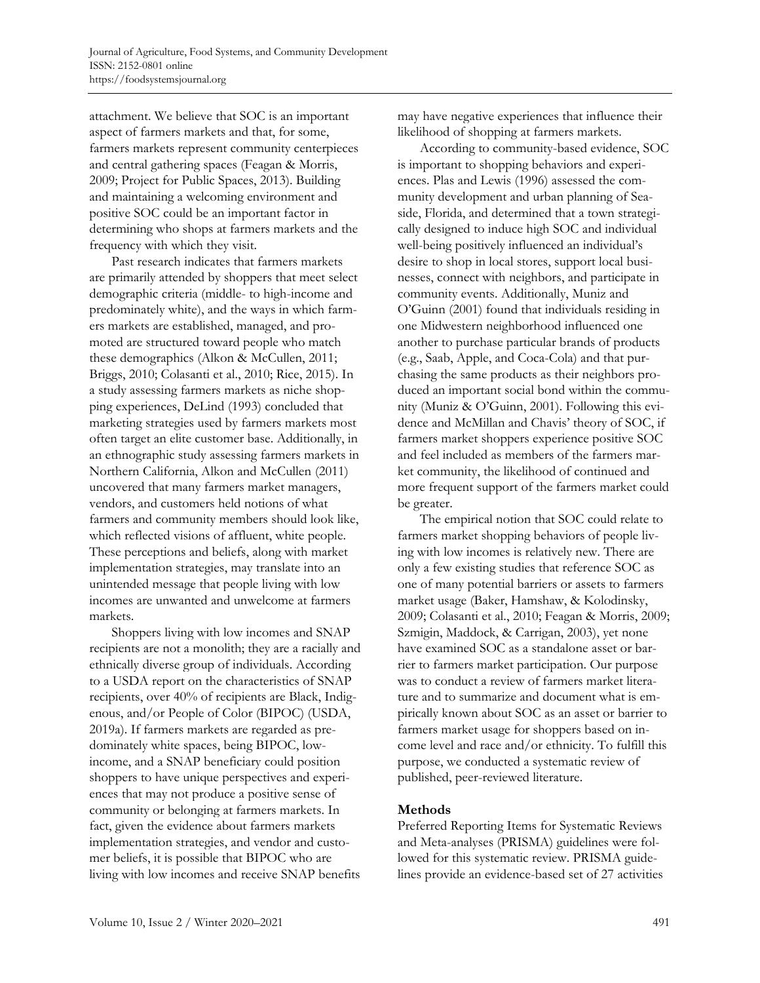attachment. We believe that SOC is an important aspect of farmers markets and that, for some, farmers markets represent community centerpieces and central gathering spaces (Feagan & Morris, 2009; Project for Public Spaces, 2013). Building and maintaining a welcoming environment and positive SOC could be an important factor in determining who shops at farmers markets and the frequency with which they visit.

Past research indicates that farmers markets are primarily attended by shoppers that meet select demographic criteria (middle- to high-income and predominately white), and the ways in which farmers markets are established, managed, and promoted are structured toward people who match these demographics (Alkon & McCullen, 2011; Briggs, 2010; Colasanti et al., 2010; Rice, 2015). In a study assessing farmers markets as niche shopping experiences, DeLind (1993) concluded that marketing strategies used by farmers markets most often target an elite customer base. Additionally, in an ethnographic study assessing farmers markets in Northern California, Alkon and McCullen (2011) uncovered that many farmers market managers, vendors, and customers held notions of what farmers and community members should look like, which reflected visions of affluent, white people. These perceptions and beliefs, along with market implementation strategies, may translate into an unintended message that people living with low incomes are unwanted and unwelcome at farmers markets.

Shoppers living with low incomes and SNAP recipients are not a monolith; they are a racially and ethnically diverse group of individuals. According to a USDA report on the characteristics of SNAP recipients, over 40% of recipients are Black, Indigenous, and/or People of Color (BIPOC) (USDA, 2019a). If farmers markets are regarded as predominately white spaces, being BIPOC, lowincome, and a SNAP beneficiary could position shoppers to have unique perspectives and experiences that may not produce a positive sense of community or belonging at farmers markets. In fact, given the evidence about farmers markets implementation strategies, and vendor and customer beliefs, it is possible that BIPOC who are living with low incomes and receive SNAP benefits may have negative experiences that influence their likelihood of shopping at farmers markets.

According to community-based evidence, SOC is important to shopping behaviors and experiences. Plas and Lewis (1996) assessed the community development and urban planning of Seaside, Florida, and determined that a town strategically designed to induce high SOC and individual well-being positively influenced an individual's desire to shop in local stores, support local businesses, connect with neighbors, and participate in community events. Additionally, Muniz and O'Guinn (2001) found that individuals residing in one Midwestern neighborhood influenced one another to purchase particular brands of products (e.g., Saab, Apple, and Coca-Cola) and that purchasing the same products as their neighbors produced an important social bond within the community (Muniz & O'Guinn, 2001). Following this evidence and McMillan and Chavis' theory of SOC, if farmers market shoppers experience positive SOC and feel included as members of the farmers market community, the likelihood of continued and more frequent support of the farmers market could be greater.

The empirical notion that SOC could relate to farmers market shopping behaviors of people living with low incomes is relatively new. There are only a few existing studies that reference SOC as one of many potential barriers or assets to farmers market usage (Baker, Hamshaw, & Kolodinsky, 2009; Colasanti et al., 2010; Feagan & Morris, 2009; Szmigin, Maddock, & Carrigan, 2003), yet none have examined SOC as a standalone asset or barrier to farmers market participation. Our purpose was to conduct a review of farmers market literature and to summarize and document what is empirically known about SOC as an asset or barrier to farmers market usage for shoppers based on income level and race and/or ethnicity. To fulfill this purpose, we conducted a systematic review of published, peer-reviewed literature.

## **Methods**

Preferred Reporting Items for Systematic Reviews and Meta-analyses (PRISMA) guidelines were followed for this systematic review. PRISMA guidelines provide an evidence-based set of 27 activities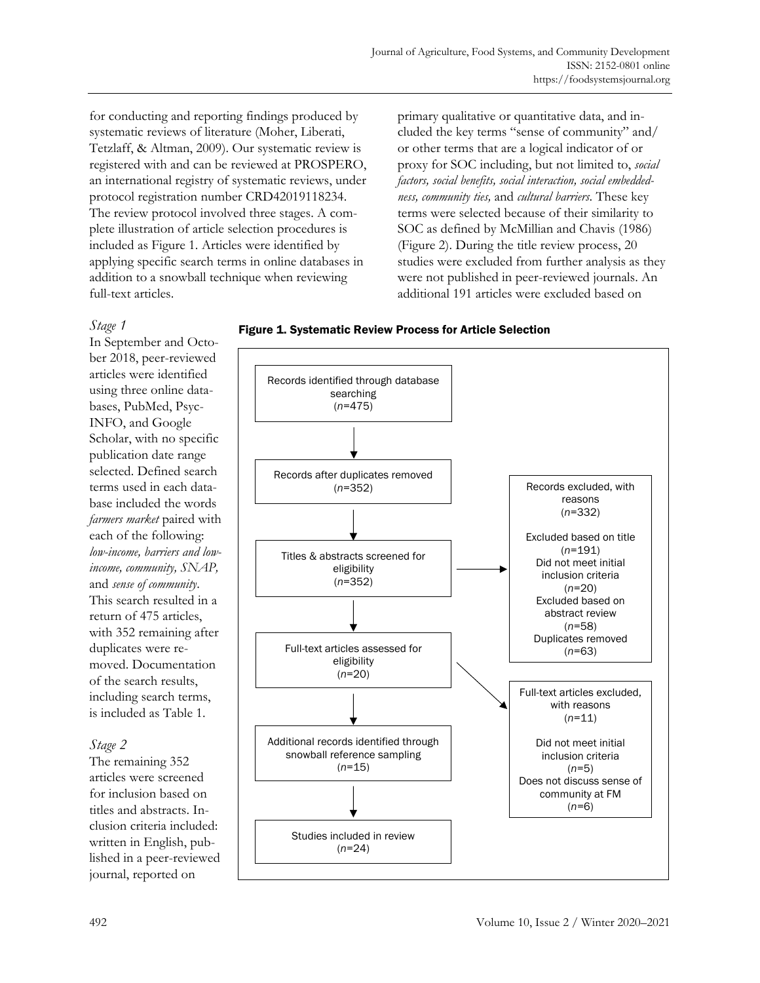for conducting and reporting findings produced by systematic reviews of literature (Moher, Liberati, Tetzlaff, & Altman, 2009). Our systematic review is registered with and can be reviewed at PROSPERO, an international registry of systematic reviews, under protocol registration number CRD42019118234. The review protocol involved three stages. A complete illustration of article selection procedures is included as Figure 1. Articles were identified by applying specific search terms in online databases in addition to a snowball technique when reviewing full-text articles.

primary qualitative or quantitative data, and included the key terms "sense of community" and/ or other terms that are a logical indicator of or proxy for SOC including, but not limited to, *social factors, social benefits, social interaction, social embeddedness, community ties,* and *cultural barriers*. These key terms were selected because of their similarity to SOC as defined by McMillian and Chavis (1986) (Figure 2). During the title review process, 20 studies were excluded from further analysis as they were not published in peer-reviewed journals. An additional 191 articles were excluded based on

## *Stage 1*

In September and October 2018, peer-reviewed articles were identified using three online databases, PubMed, Psyc-INFO, and Google Scholar, with no specific publication date range selected. Defined search terms used in each database included the words *farmers market* paired with each of the following: *low-income, barriers and lowincome, community, SNAP,*  and *sense of community*. This search resulted in a return of 475 articles, with 352 remaining after duplicates were removed. Documentation of the search results, including search terms, is included as Table 1.

# *Stage 2*

The remaining 352 articles were screened for inclusion based on titles and abstracts. Inclusion criteria included: written in English, published in a peer-reviewed journal, reported on



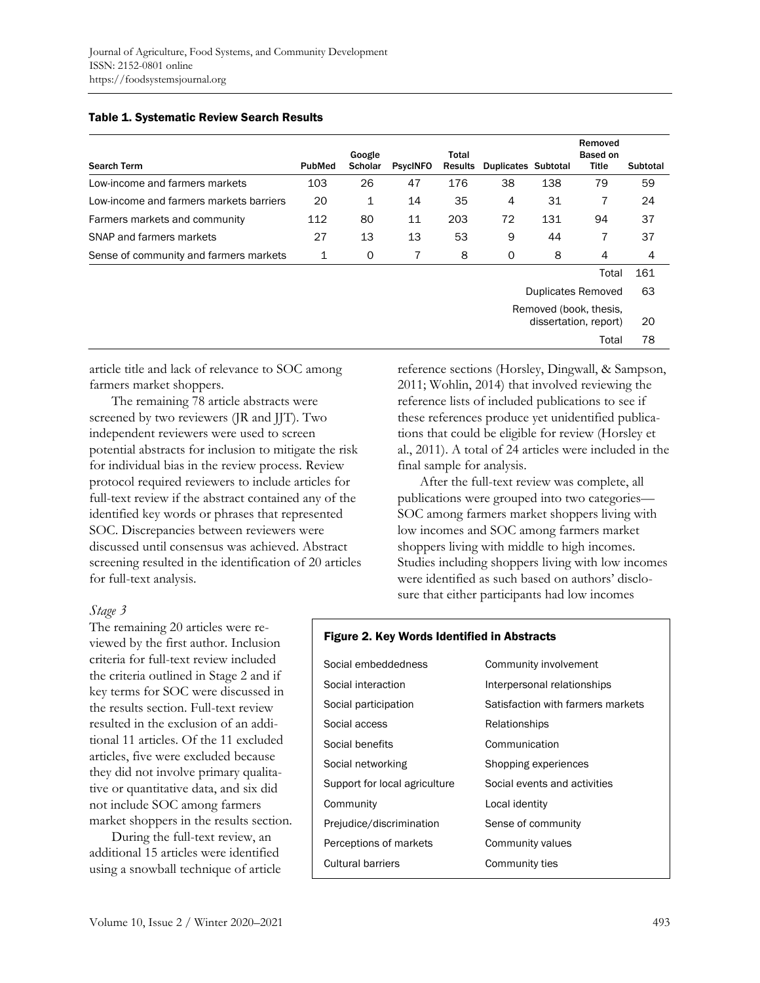#### Table 1. Systematic Review Search Results

| <b>Search Term</b>                      | <b>PubMed</b> | Google<br><b>Scholar</b> | <b>PsycINFO</b> | Total<br><b>Results</b> | <b>Duplicates Subtotal</b> |     | Removed<br>Based on<br><b>Title</b>             | Subtotal |
|-----------------------------------------|---------------|--------------------------|-----------------|-------------------------|----------------------------|-----|-------------------------------------------------|----------|
| Low-income and farmers markets          | 103           | 26                       | 47              | 176                     | 38                         | 138 | 79                                              | 59       |
| Low-income and farmers markets barriers | 20            | 1                        | 14              | 35                      | 4                          | 31  | 7                                               | 24       |
| Farmers markets and community           | 112           | 80                       | 11              | 203                     | 72                         | 131 | 94                                              | 37       |
| SNAP and farmers markets                | 27            | 13                       | 13              | 53                      | 9                          | 44  | 7                                               | 37       |
| Sense of community and farmers markets  | 1             | 0                        | 7               | 8                       | 0                          | 8   | 4                                               | 4        |
|                                         |               |                          |                 |                         |                            |     | Total                                           | 161      |
|                                         |               |                          |                 |                         |                            |     | Duplicates Removed                              | 63       |
|                                         |               |                          |                 |                         |                            |     | Removed (book, thesis,<br>dissertation, report) | 20       |

article title and lack of relevance to SOC among farmers market shoppers.

The remaining 78 article abstracts were screened by two reviewers (JR and JJT). Two independent reviewers were used to screen potential abstracts for inclusion to mitigate the risk for individual bias in the review process. Review protocol required reviewers to include articles for full-text review if the abstract contained any of the identified key words or phrases that represented SOC. Discrepancies between reviewers were discussed until consensus was achieved. Abstract screening resulted in the identification of 20 articles for full-text analysis.

#### *Stage 3*

The remaining 20 articles were reviewed by the first author. Inclusion criteria for full-text review included the criteria outlined in Stage 2 and if key terms for SOC were discussed in the results section. Full-text review resulted in the exclusion of an additional 11 articles. Of the 11 excluded articles, five were excluded because they did not involve primary qualitative or quantitative data, and six did not include SOC among farmers market shoppers in the results section.

During the full-text review, an additional 15 articles were identified using a snowball technique of article reference sections (Horsley, Dingwall, & Sampson, 2011; Wohlin, 2014) that involved reviewing the reference lists of included publications to see if these references produce yet unidentified publications that could be eligible for review (Horsley et al., 2011). A total of 24 articles were included in the final sample for analysis.

Total 78

After the full-text review was complete, all publications were grouped into two categories— SOC among farmers market shoppers living with low incomes and SOC among farmers market shoppers living with middle to high incomes. Studies including shoppers living with low incomes were identified as such based on authors' disclosure that either participants had low incomes

#### Figure 2. Key Words Identified in Abstracts

| Social embeddedness           | Community involvement             |
|-------------------------------|-----------------------------------|
| Social interaction            | Interpersonal relationships       |
| Social participation          | Satisfaction with farmers markets |
| Social access                 | Relationships                     |
| Social benefits               | Communication                     |
| Social networking             | Shopping experiences              |
| Support for local agriculture | Social events and activities      |
| Community                     | Local identity                    |
| Prejudice/discrimination      | Sense of community                |
| Perceptions of markets        | Community values                  |
| Cultural barriers             | Community ties                    |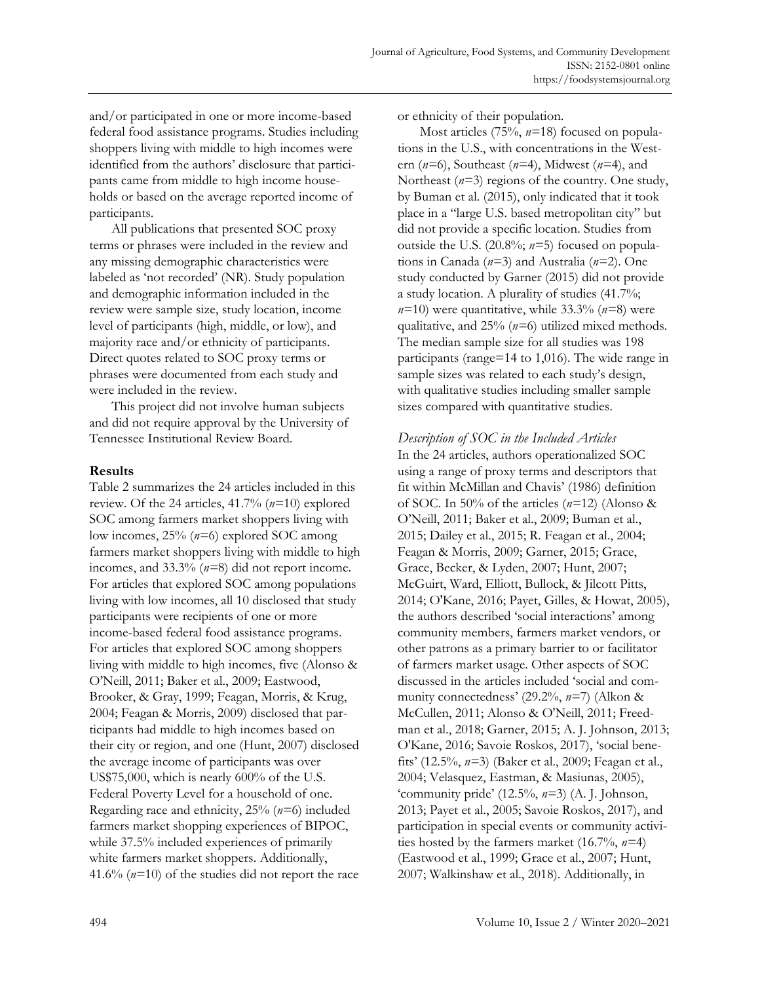and/or participated in one or more income-based federal food assistance programs. Studies including shoppers living with middle to high incomes were identified from the authors' disclosure that participants came from middle to high income households or based on the average reported income of participants.

All publications that presented SOC proxy terms or phrases were included in the review and any missing demographic characteristics were labeled as 'not recorded' (NR). Study population and demographic information included in the review were sample size, study location, income level of participants (high, middle, or low), and majority race and/or ethnicity of participants. Direct quotes related to SOC proxy terms or phrases were documented from each study and were included in the review.

This project did not involve human subjects and did not require approval by the University of Tennessee Institutional Review Board.

## **Results**

Table 2 summarizes the 24 articles included in this review. Of the 24 articles, 41.7% (*n=*10) explored SOC among farmers market shoppers living with low incomes, 25% (*n=*6) explored SOC among farmers market shoppers living with middle to high incomes, and 33.3% (*n=*8) did not report income. For articles that explored SOC among populations living with low incomes, all 10 disclosed that study participants were recipients of one or more income-based federal food assistance programs. For articles that explored SOC among shoppers living with middle to high incomes, five (Alonso & O'Neill, 2011; Baker et al., 2009; Eastwood, Brooker, & Gray, 1999; Feagan, Morris, & Krug, 2004; Feagan & Morris, 2009) disclosed that participants had middle to high incomes based on their city or region, and one (Hunt, 2007) disclosed the average income of participants was over US\$75,000, which is nearly 600% of the U.S. Federal Poverty Level for a household of one. Regarding race and ethnicity, 25% (*n=*6) included farmers market shopping experiences of BIPOC, while 37.5% included experiences of primarily white farmers market shoppers. Additionally, 41.6% (*n=*10) of the studies did not report the race

or ethnicity of their population.

Most articles (75%, *n=*18) focused on populations in the U.S., with concentrations in the Western (*n=*6), Southeast (*n=*4), Midwest (*n=*4), and Northeast (*n=*3) regions of the country. One study, by Buman et al. (2015), only indicated that it took place in a "large U.S. based metropolitan city" but did not provide a specific location. Studies from outside the U.S. (20.8%; *n=*5) focused on populations in Canada (*n=*3) and Australia (*n=*2). One study conducted by Garner (2015) did not provide a study location. A plurality of studies (41.7%; *n=*10) were quantitative, while 33.3% (*n=*8) were qualitative, and 25% (*n=*6) utilized mixed methods. The median sample size for all studies was 198 participants (range=14 to 1,016). The wide range in sample sizes was related to each study's design, with qualitative studies including smaller sample sizes compared with quantitative studies.

*Description of SOC in the Included Articles* In the 24 articles, authors operationalized SOC using a range of proxy terms and descriptors that fit within McMillan and Chavis' (1986) definition of SOC. In 50% of the articles (*n=*12) (Alonso & O'Neill, 2011; Baker et al., 2009; Buman et al., 2015; Dailey et al., 2015; R. Feagan et al., 2004; Feagan & Morris, 2009; Garner, 2015; Grace, Grace, Becker, & Lyden, 2007; Hunt, 2007; McGuirt, Ward, Elliott, Bullock, & Jilcott Pitts, 2014; O'Kane, 2016; Payet, Gilles, & Howat, 2005), the authors described 'social interactions' among community members, farmers market vendors, or other patrons as a primary barrier to or facilitator of farmers market usage. Other aspects of SOC discussed in the articles included 'social and community connectedness' (29.2%, *n=*7) (Alkon & McCullen, 2011; Alonso & O'Neill, 2011; Freedman et al., 2018; Garner, 2015; A. J. Johnson, 2013; O'Kane, 2016; Savoie Roskos, 2017), 'social benefits' (12.5%, *n=*3) (Baker et al., 2009; Feagan et al., 2004; Velasquez, Eastman, & Masiunas, 2005), 'community pride' (12.5%, *n=*3) (A. J. Johnson, 2013; Payet et al., 2005; Savoie Roskos, 2017), and participation in special events or community activities hosted by the farmers market (16.7%, *n=*4) (Eastwood et al., 1999; Grace et al., 2007; Hunt, 2007; Walkinshaw et al., 2018). Additionally, in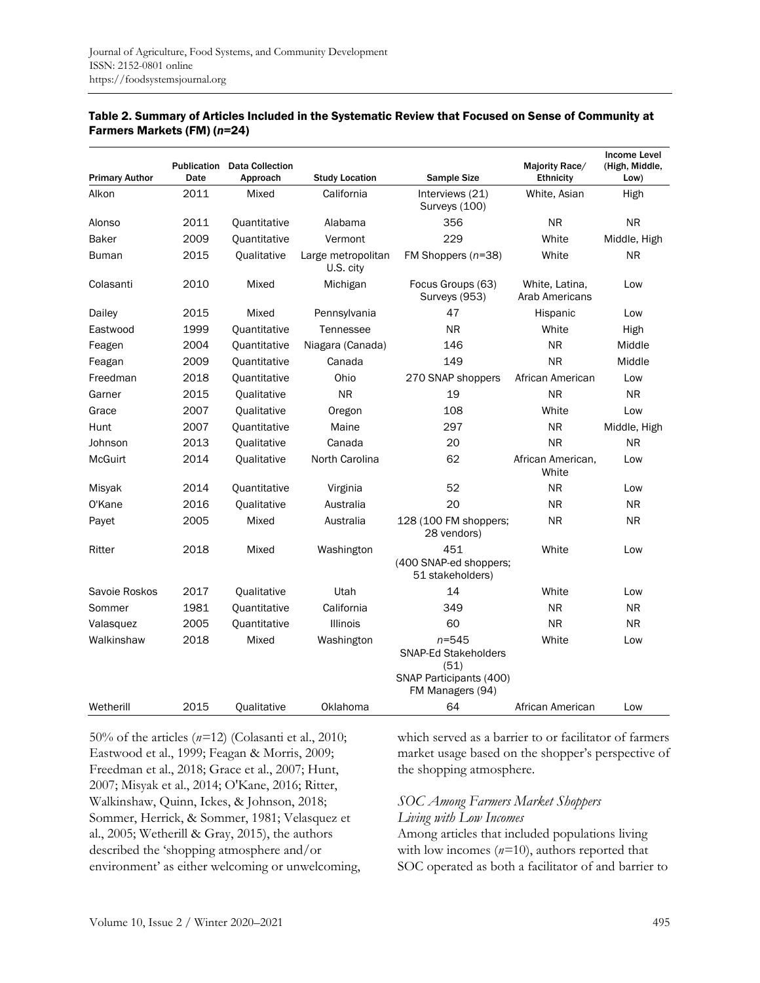| <b>Primary Author</b> | Publication<br>Date | <b>Data Collection</b><br>Approach | <b>Study Location</b>           | <b>Sample Size</b>                                                                              | Majority Race/<br><b>Ethnicity</b> | <b>Income Level</b><br>(High, Middle,<br>Low) |
|-----------------------|---------------------|------------------------------------|---------------------------------|-------------------------------------------------------------------------------------------------|------------------------------------|-----------------------------------------------|
| Alkon                 | 2011                | Mixed                              | California                      | Interviews (21)<br>Surveys (100)                                                                | White, Asian                       | High                                          |
| Alonso                | 2011                | Quantitative                       | Alabama                         | 356                                                                                             | <b>NR</b>                          | <b>NR</b>                                     |
| Baker                 | 2009                | <b>Ouantitative</b>                | Vermont                         | 229                                                                                             | White                              | Middle, High                                  |
| <b>Buman</b>          | 2015                | Qualitative                        | Large metropolitan<br>U.S. city | FM Shoppers $(n=38)$                                                                            | White                              | <b>NR</b>                                     |
| Colasanti             | 2010                | Mixed                              | Michigan                        | Focus Groups (63)<br>Surveys (953)                                                              | White, Latina.<br>Arab Americans   | Low                                           |
| Dailey                | 2015                | Mixed                              | Pennsylvania                    | 47                                                                                              | Hispanic                           | Low                                           |
| Eastwood              | 1999                | <b>Quantitative</b>                | Tennessee                       | <b>NR</b>                                                                                       | White                              | High                                          |
| Feagen                | 2004                | Quantitative                       | Niagara (Canada)                | 146                                                                                             | <b>NR</b>                          | Middle                                        |
| Feagan                | 2009                | Quantitative                       | Canada                          | 149                                                                                             | <b>NR</b>                          | Middle                                        |
| Freedman              | 2018                | <b>Quantitative</b>                | Ohio                            | 270 SNAP shoppers                                                                               | African American                   | Low                                           |
| Garner                | 2015                | <b>Qualitative</b>                 | <b>NR</b>                       | 19                                                                                              | <b>NR</b>                          | <b>NR</b>                                     |
| Grace                 | 2007                | Qualitative                        | Oregon                          | 108                                                                                             | White                              | Low                                           |
| Hunt                  | 2007                | <b>Quantitative</b>                | Maine                           | 297                                                                                             | <b>NR</b>                          | Middle, High                                  |
| Johnson               | 2013                | <b>Qualitative</b>                 | Canada                          | 20                                                                                              | <b>NR</b>                          | <b>NR</b>                                     |
| <b>McGuirt</b>        | 2014                | Qualitative                        | North Carolina                  | 62                                                                                              | African American,<br>White         | Low                                           |
| Misyak                | 2014                | Quantitative                       | Virginia                        | 52                                                                                              | <b>NR</b>                          | Low                                           |
| O'Kane                | 2016                | Qualitative                        | Australia                       | 20                                                                                              | <b>NR</b>                          | <b>NR</b>                                     |
| Payet                 | 2005                | Mixed                              | Australia                       | 128 (100 FM shoppers;<br>28 vendors)                                                            | <b>NR</b>                          | <b>NR</b>                                     |
| Ritter                | 2018                | Mixed                              | Washington                      | 451<br>(400 SNAP-ed shoppers;<br>51 stakeholders)                                               | White                              | Low                                           |
| Savoie Roskos         | 2017                | <b>Qualitative</b>                 | Utah                            | 14                                                                                              | White                              | Low                                           |
| Sommer                | 1981                | <b>Quantitative</b>                | California                      | 349                                                                                             | <b>NR</b>                          | <b>NR</b>                                     |
| Valasquez             | 2005                | Quantitative                       | <b>Illinois</b>                 | 60                                                                                              | <b>NR</b>                          | <b>NR</b>                                     |
| Walkinshaw            | 2018                | Mixed                              | Washington                      | $n = 545$<br><b>SNAP-Ed Stakeholders</b><br>(51)<br>SNAP Participants (400)<br>FM Managers (94) | White                              | Low                                           |
| Wetherill             | 2015                | Qualitative                        | Oklahoma                        | 64                                                                                              | African American                   | Low                                           |

#### Table 2. Summary of Articles Included in the Systematic Review that Focused on Sense of Community at Farmers Markets (FM) (*n*=24)

50% of the articles (*n=*12) (Colasanti et al., 2010; Eastwood et al., 1999; Feagan & Morris, 2009; Freedman et al., 2018; Grace et al., 2007; Hunt, 2007; Misyak et al., 2014; O'Kane, 2016; Ritter, Walkinshaw, Quinn, Ickes, & Johnson, 2018; Sommer, Herrick, & Sommer, 1981; Velasquez et al., 2005; Wetherill & Gray, 2015), the authors described the 'shopping atmosphere and/or environment' as either welcoming or unwelcoming, which served as a barrier to or facilitator of farmers market usage based on the shopper's perspective of the shopping atmosphere.

## *SOC Among Farmers Market Shoppers Living with Low Incomes*

Among articles that included populations living with low incomes (*n=*10), authors reported that SOC operated as both a facilitator of and barrier to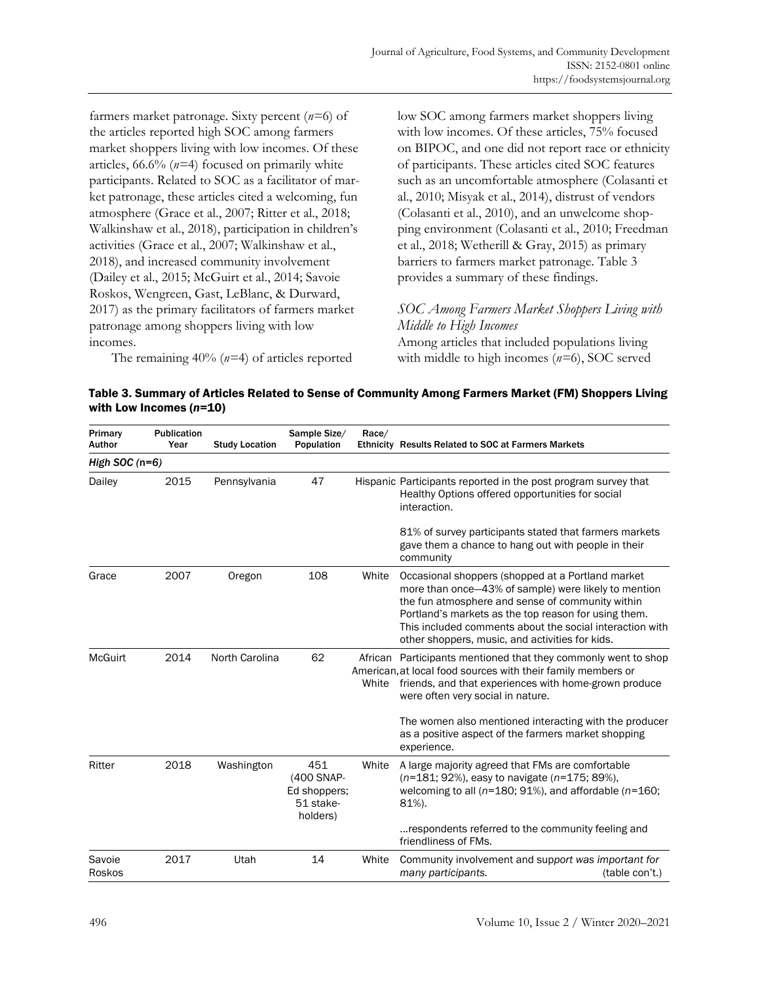farmers market patronage. Sixty percent (*n=*6) of the articles reported high SOC among farmers market shoppers living with low incomes. Of these articles, 66.6% (*n=*4) focused on primarily white participants. Related to SOC as a facilitator of market patronage, these articles cited a welcoming, fun atmosphere (Grace et al., 2007; Ritter et al., 2018; Walkinshaw et al., 2018), participation in children's activities (Grace et al., 2007; Walkinshaw et al., 2018), and increased community involvement (Dailey et al., 2015; McGuirt et al., 2014; Savoie Roskos, Wengreen, Gast, LeBlanc, & Durward, 2017) as the primary facilitators of farmers market patronage among shoppers living with low incomes.

The remaining 40% (*n=*4) of articles reported

low SOC among farmers market shoppers living with low incomes. Of these articles, 75% focused on BIPOC, and one did not report race or ethnicity of participants. These articles cited SOC features such as an uncomfortable atmosphere (Colasanti et al., 2010; Misyak et al., 2014), distrust of vendors (Colasanti et al., 2010), and an unwelcome shopping environment (Colasanti et al., 2010; Freedman et al., 2018; Wetherill & Gray, 2015) as primary barriers to farmers market patronage. Table 3 provides a summary of these findings.

## *SOC Among Farmers Market Shoppers Living with Middle to High Incomes*

Among articles that included populations living with middle to high incomes (*n=*6), SOC served

| Table 3. Summary of Articles Related to Sense of Community Among Farmers Market (FM) Shoppers Living |  |
|------------------------------------------------------------------------------------------------------|--|
| with Low Incomes (n=10)                                                                              |  |

| Primary<br>Author | Publication<br>Year | <b>Study Location</b> | Sample Size/<br>Population                                 | Race/ | Ethnicity Results Related to SOC at Farmers Markets                                                                                                                                                                                                                                                                                  |
|-------------------|---------------------|-----------------------|------------------------------------------------------------|-------|--------------------------------------------------------------------------------------------------------------------------------------------------------------------------------------------------------------------------------------------------------------------------------------------------------------------------------------|
| High SOC $(n=6)$  |                     |                       |                                                            |       |                                                                                                                                                                                                                                                                                                                                      |
| Dailey            | 2015                | Pennsylvania          | 47                                                         |       | Hispanic Participants reported in the post program survey that<br>Healthy Options offered opportunities for social<br>interaction.                                                                                                                                                                                                   |
|                   |                     |                       |                                                            |       | 81% of survey participants stated that farmers markets<br>gave them a chance to hang out with people in their<br>community                                                                                                                                                                                                           |
| Grace             | 2007                | Oregon                | 108                                                        | White | Occasional shoppers (shopped at a Portland market<br>more than once-43% of sample) were likely to mention<br>the fun atmosphere and sense of community within<br>Portland's markets as the top reason for using them.<br>This included comments about the social interaction with<br>other shoppers, music, and activities for kids. |
| <b>McGuirt</b>    | 2014                | North Carolina        | 62                                                         | White | African Participants mentioned that they commonly went to shop<br>American, at local food sources with their family members or<br>friends, and that experiences with home-grown produce<br>were often very social in nature.                                                                                                         |
|                   |                     |                       |                                                            |       | The women also mentioned interacting with the producer<br>as a positive aspect of the farmers market shopping<br>experience.                                                                                                                                                                                                         |
| Ritter            | 2018                | Washington            | 451<br>(400 SNAP-<br>Ed shoppers;<br>51 stake-<br>holders) | White | A large majority agreed that FMs are comfortable<br>(n=181; 92%), easy to navigate (n=175; 89%),<br>welcoming to all ( $n=180$ ; 91%), and affordable ( $n=160$ ;<br>81%).                                                                                                                                                           |
|                   |                     |                       |                                                            |       | respondents referred to the community feeling and<br>friendliness of FMs.                                                                                                                                                                                                                                                            |
| Savoie<br>Roskos  | 2017                | Utah                  | 14                                                         | White | Community involvement and support was important for<br>many participants.<br>(table con't.)                                                                                                                                                                                                                                          |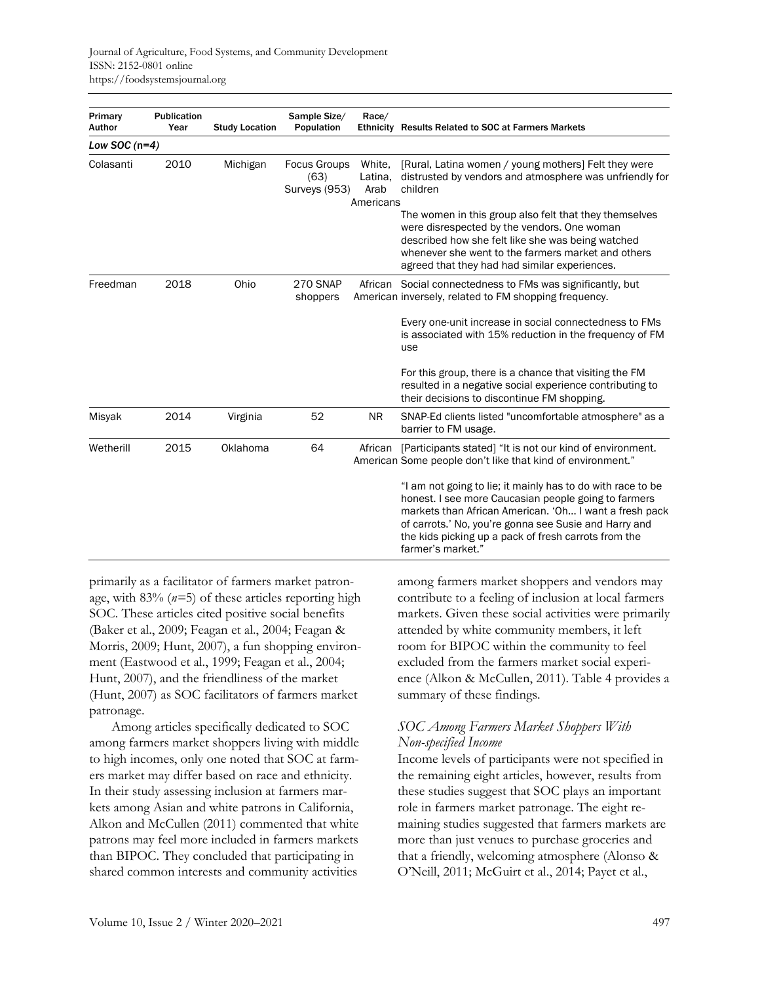| Primary<br>Author | Publication<br>Year | <b>Study Location</b> | Sample Size/<br>Population                   | Race/                                  | Ethnicity Results Related to SOC at Farmers Markets                                                                                                                                                                                                                                                                 |
|-------------------|---------------------|-----------------------|----------------------------------------------|----------------------------------------|---------------------------------------------------------------------------------------------------------------------------------------------------------------------------------------------------------------------------------------------------------------------------------------------------------------------|
| Low SOC $(n=4)$   |                     |                       |                                              |                                        |                                                                                                                                                                                                                                                                                                                     |
| Colasanti         | 2010                | Michigan              | <b>Focus Groups</b><br>(63)<br>Surveys (953) | White.<br>Latina,<br>Arab<br>Americans | [Rural, Latina women / young mothers] Felt they were<br>distrusted by vendors and atmosphere was unfriendly for<br>children                                                                                                                                                                                         |
|                   |                     |                       |                                              |                                        | The women in this group also felt that they themselves<br>were disrespected by the vendors. One woman<br>described how she felt like she was being watched<br>whenever she went to the farmers market and others<br>agreed that they had had similar experiences.                                                   |
| Freedman          | 2018                | Ohio                  | <b>270 SNAP</b><br>shoppers                  |                                        | African Social connectedness to FMs was significantly, but<br>American inversely, related to FM shopping frequency.                                                                                                                                                                                                 |
|                   |                     |                       |                                              |                                        | Every one-unit increase in social connectedness to FMs<br>is associated with 15% reduction in the frequency of FM<br>use                                                                                                                                                                                            |
|                   |                     |                       |                                              |                                        | For this group, there is a chance that visiting the FM<br>resulted in a negative social experience contributing to<br>their decisions to discontinue FM shopping.                                                                                                                                                   |
| Misyak            | 2014                | Virginia              | 52                                           | <b>NR</b>                              | SNAP-Ed clients listed "uncomfortable atmosphere" as a<br>barrier to FM usage.                                                                                                                                                                                                                                      |
| Wetherill         | 2015                | Oklahoma              | 64                                           |                                        | African [Participants stated] "It is not our kind of environment.<br>American Some people don't like that kind of environment."                                                                                                                                                                                     |
|                   |                     |                       |                                              |                                        | "I am not going to lie; it mainly has to do with race to be<br>honest. I see more Caucasian people going to farmers<br>markets than African American. 'Oh I want a fresh pack<br>of carrots.' No, you're gonna see Susie and Harry and<br>the kids picking up a pack of fresh carrots from the<br>farmer's market." |

primarily as a facilitator of farmers market patronage, with 83% (*n=*5) of these articles reporting high SOC. These articles cited positive social benefits (Baker et al., 2009; Feagan et al., 2004; Feagan & Morris, 2009; Hunt, 2007), a fun shopping environment (Eastwood et al., 1999; Feagan et al., 2004; Hunt, 2007), and the friendliness of the market (Hunt, 2007) as SOC facilitators of farmers market patronage.

Among articles specifically dedicated to SOC among farmers market shoppers living with middle to high incomes, only one noted that SOC at farmers market may differ based on race and ethnicity. In their study assessing inclusion at farmers markets among Asian and white patrons in California, Alkon and McCullen (2011) commented that white patrons may feel more included in farmers markets than BIPOC. They concluded that participating in shared common interests and community activities

among farmers market shoppers and vendors may contribute to a feeling of inclusion at local farmers markets. Given these social activities were primarily attended by white community members, it left room for BIPOC within the community to feel excluded from the farmers market social experience (Alkon & McCullen, 2011). Table 4 provides a summary of these findings.

# *SOC Among Farmers Market Shoppers With Non-specified Income*

Income levels of participants were not specified in the remaining eight articles, however, results from these studies suggest that SOC plays an important role in farmers market patronage. The eight remaining studies suggested that farmers markets are more than just venues to purchase groceries and that a friendly, welcoming atmosphere (Alonso & O'Neill, 2011; McGuirt et al., 2014; Payet et al.,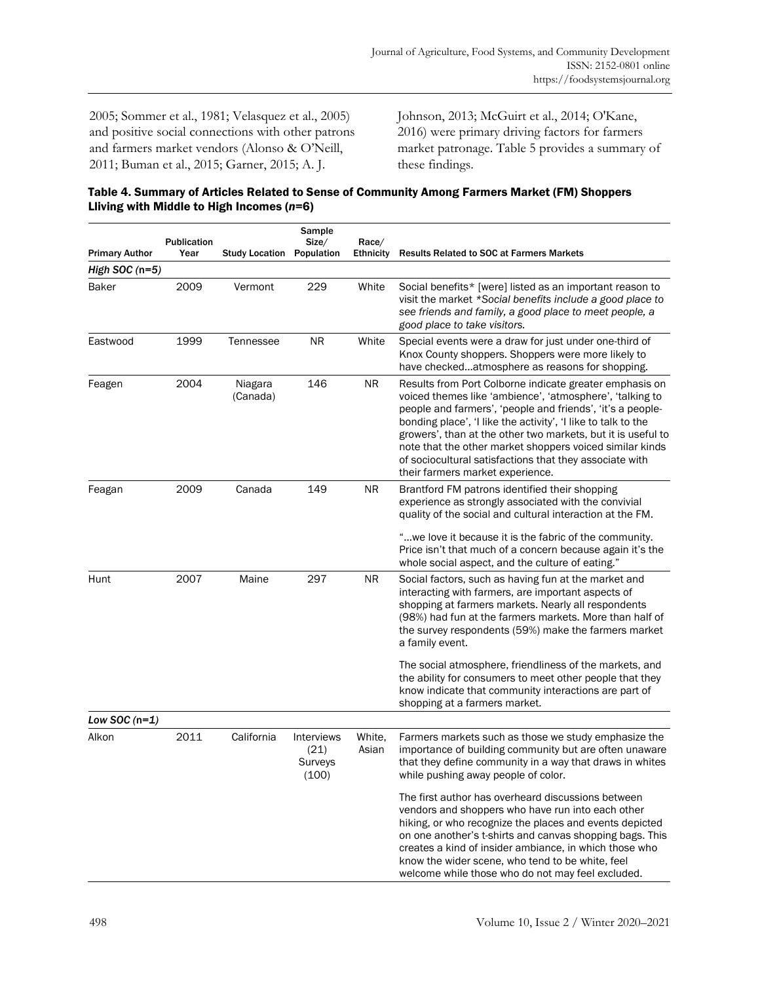2005; Sommer et al., 1981; Velasquez et al., 2005) and positive social connections with other patrons and farmers market vendors (Alonso & O'Neill, 2011; Buman et al., 2015; Garner, 2015; A. J.

Johnson, 2013; McGuirt et al., 2014; O'Kane, 2016) were primary driving factors for farmers market patronage. Table 5 provides a summary of these findings.

Table 4. Summary of Articles Related to Sense of Community Among Farmers Market (FM) Shoppers Lliving with Middle to High Incomes (*n*=6)

| <b>Primary Author</b> | <b>Publication</b><br>Year | <b>Study Location</b> | Sample<br>Size/<br>Population          | Race/<br><b>Ethnicity</b> | <b>Results Related to SOC at Farmers Markets</b>                                                                                                                                                                                                                                                                                                                                                                                                                              |
|-----------------------|----------------------------|-----------------------|----------------------------------------|---------------------------|-------------------------------------------------------------------------------------------------------------------------------------------------------------------------------------------------------------------------------------------------------------------------------------------------------------------------------------------------------------------------------------------------------------------------------------------------------------------------------|
| High SOC $(n=5)$      |                            |                       |                                        |                           |                                                                                                                                                                                                                                                                                                                                                                                                                                                                               |
| Baker                 | 2009                       | Vermont               | 229                                    | White                     | Social benefits* [were] listed as an important reason to<br>visit the market *Social benefits include a good place to<br>see friends and family, a good place to meet people, a<br>good place to take visitors.                                                                                                                                                                                                                                                               |
| Eastwood              | 1999                       | Tennessee             | <b>NR</b>                              | White                     | Special events were a draw for just under one-third of<br>Knox County shoppers. Shoppers were more likely to<br>have checkedatmosphere as reasons for shopping.                                                                                                                                                                                                                                                                                                               |
| Feagen                | 2004                       | Niagara<br>(Canada)   | 146                                    | NR.                       | Results from Port Colborne indicate greater emphasis on<br>voiced themes like 'ambience', 'atmosphere', 'talking to<br>people and farmers', 'people and friends', 'it's a people-<br>bonding place', 'I like the activity', 'I like to talk to the<br>growers', than at the other two markets, but it is useful to<br>note that the other market shoppers voiced similar kinds<br>of sociocultural satisfactions that they associate with<br>their farmers market experience. |
| Feagan                | 2009                       | Canada                | 149                                    | NR.                       | Brantford FM patrons identified their shopping<br>experience as strongly associated with the convivial<br>quality of the social and cultural interaction at the FM.                                                                                                                                                                                                                                                                                                           |
|                       |                            |                       |                                        |                           | "we love it because it is the fabric of the community.<br>Price isn't that much of a concern because again it's the<br>whole social aspect, and the culture of eating."                                                                                                                                                                                                                                                                                                       |
| Hunt                  | 2007                       | Maine                 | 297                                    | NR.                       | Social factors, such as having fun at the market and<br>interacting with farmers, are important aspects of<br>shopping at farmers markets. Nearly all respondents<br>(98%) had fun at the farmers markets. More than half of<br>the survey respondents (59%) make the farmers market<br>a family event.                                                                                                                                                                       |
|                       |                            |                       |                                        |                           | The social atmosphere, friendliness of the markets, and<br>the ability for consumers to meet other people that they<br>know indicate that community interactions are part of<br>shopping at a farmers market.                                                                                                                                                                                                                                                                 |
| Low SOC $(n=1)$       |                            |                       |                                        |                           |                                                                                                                                                                                                                                                                                                                                                                                                                                                                               |
| Alkon                 | 2011                       | California            | Interviews<br>(21)<br>Surveys<br>(100) | White.<br>Asian           | Farmers markets such as those we study emphasize the<br>importance of building community but are often unaware<br>that they define community in a way that draws in whites<br>while pushing away people of color.                                                                                                                                                                                                                                                             |
|                       |                            |                       |                                        |                           | The first author has overheard discussions between<br>vendors and shoppers who have run into each other<br>hiking, or who recognize the places and events depicted<br>on one another's t-shirts and canvas shopping bags. This<br>creates a kind of insider ambiance, in which those who<br>know the wider scene, who tend to be white, feel<br>welcome while those who do not may feel excluded.                                                                             |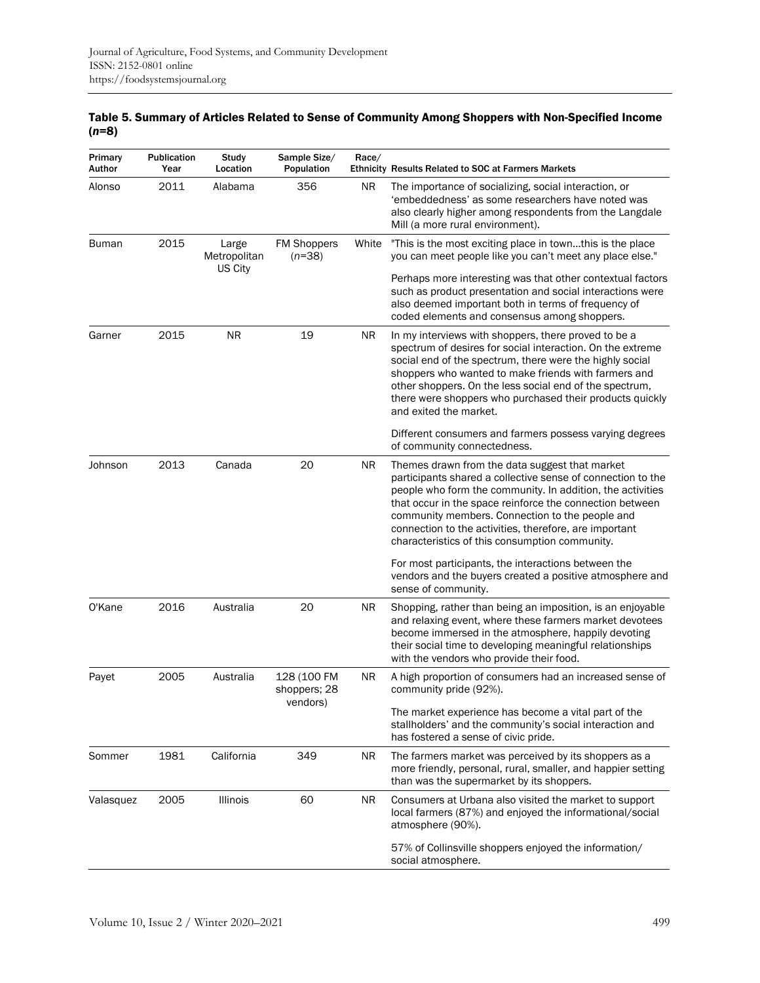| Table 5. Summary of Articles Related to Sense of Community Among Shoppers with Non-Specified Income |  |
|-----------------------------------------------------------------------------------------------------|--|
| $(n=8)$                                                                                             |  |

| Primary<br>Author | Publication<br>Year | Study<br>Location     | Sample Size/<br>Population     | Race/     | <b>Ethnicity Results Related to SOC at Farmers Markets</b>                                                                                                                                                                                                                                                                                                                                             |
|-------------------|---------------------|-----------------------|--------------------------------|-----------|--------------------------------------------------------------------------------------------------------------------------------------------------------------------------------------------------------------------------------------------------------------------------------------------------------------------------------------------------------------------------------------------------------|
| Alonso            | 2011                | Alabama               | 356                            | ΝR        | The importance of socializing, social interaction, or<br>'embeddedness' as some researchers have noted was<br>also clearly higher among respondents from the Langdale<br>Mill (a more rural environment).                                                                                                                                                                                              |
| <b>Buman</b>      | 2015                | Large<br>Metropolitan | <b>FM Shoppers</b><br>$(n=38)$ | White     | "This is the most exciting place in townthis is the place<br>you can meet people like you can't meet any place else."                                                                                                                                                                                                                                                                                  |
|                   |                     | US City               |                                |           | Perhaps more interesting was that other contextual factors<br>such as product presentation and social interactions were<br>also deemed important both in terms of frequency of<br>coded elements and consensus among shoppers.                                                                                                                                                                         |
| Garner            | 2015                | <b>NR</b>             | 19                             | <b>NR</b> | In my interviews with shoppers, there proved to be a<br>spectrum of desires for social interaction. On the extreme<br>social end of the spectrum, there were the highly social<br>shoppers who wanted to make friends with farmers and<br>other shoppers. On the less social end of the spectrum,<br>there were shoppers who purchased their products quickly<br>and exited the market.                |
|                   |                     |                       |                                |           | Different consumers and farmers possess varying degrees<br>of community connectedness.                                                                                                                                                                                                                                                                                                                 |
| Johnson           | 2013                | Canada                | 20                             | ΝR        | Themes drawn from the data suggest that market<br>participants shared a collective sense of connection to the<br>people who form the community. In addition, the activities<br>that occur in the space reinforce the connection between<br>community members. Connection to the people and<br>connection to the activities, therefore, are important<br>characteristics of this consumption community. |
|                   |                     |                       |                                |           | For most participants, the interactions between the<br>vendors and the buyers created a positive atmosphere and<br>sense of community.                                                                                                                                                                                                                                                                 |
| O'Kane            | 2016                | Australia             | 20                             | ΝR        | Shopping, rather than being an imposition, is an enjoyable<br>and relaxing event, where these farmers market devotees<br>become immersed in the atmosphere, happily devoting<br>their social time to developing meaningful relationships<br>with the vendors who provide their food.                                                                                                                   |
| Payet             | 2005                | Australia             | 128 (100 FM<br>shoppers; 28    | NR.       | A high proportion of consumers had an increased sense of<br>community pride (92%).                                                                                                                                                                                                                                                                                                                     |
|                   |                     |                       | vendors)                       |           | The market experience has become a vital part of the<br>stallholders' and the community's social interaction and<br>has fostered a sense of civic pride.                                                                                                                                                                                                                                               |
| Sommer            | 1981                | California            | 349                            | NR.       | The farmers market was perceived by its shoppers as a<br>more friendly, personal, rural, smaller, and happier setting<br>than was the supermarket by its shoppers.                                                                                                                                                                                                                                     |
| Valasquez         | 2005                | Illinois              | 60                             | NR.       | Consumers at Urbana also visited the market to support<br>local farmers (87%) and enjoyed the informational/social<br>atmosphere (90%).                                                                                                                                                                                                                                                                |
|                   |                     |                       |                                |           | 57% of Collinsville shoppers enjoyed the information/<br>social atmosphere.                                                                                                                                                                                                                                                                                                                            |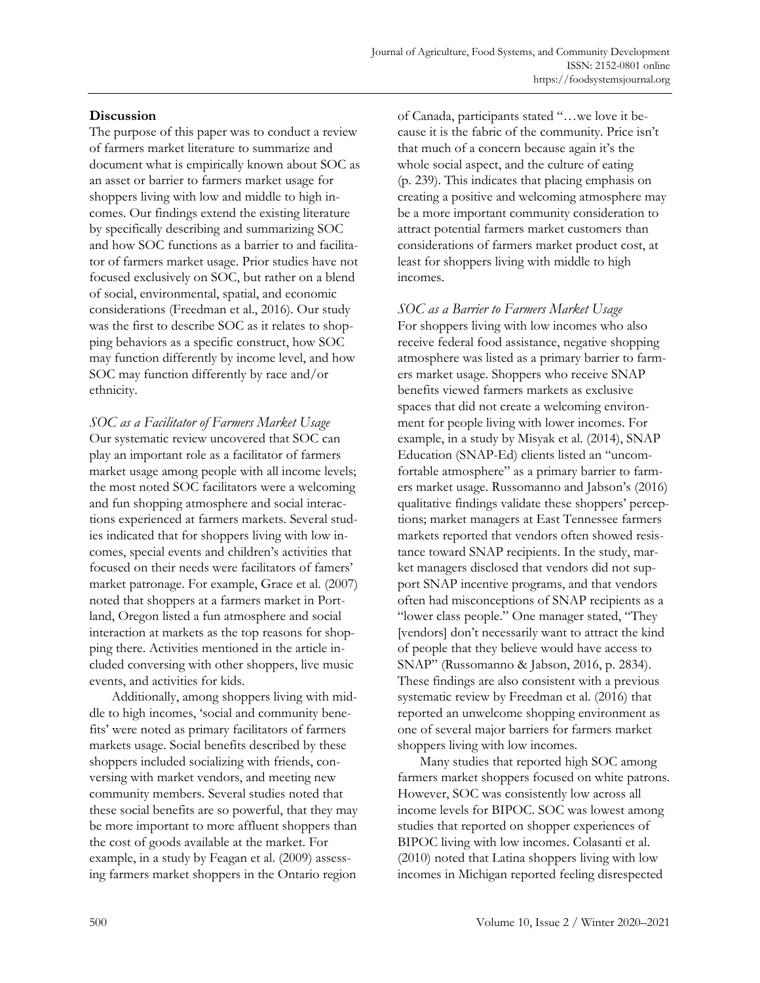# **Discussion**

The purpose of this paper was to conduct a review of farmers market literature to summarize and document what is empirically known about SOC as an asset or barrier to farmers market usage for shoppers living with low and middle to high incomes. Our findings extend the existing literature by specifically describing and summarizing SOC and how SOC functions as a barrier to and facilitator of farmers market usage. Prior studies have not focused exclusively on SOC, but rather on a blend of social, environmental, spatial, and economic considerations (Freedman et al., 2016). Our study was the first to describe SOC as it relates to shopping behaviors as a specific construct, how SOC may function differently by income level, and how SOC may function differently by race and/or ethnicity.

*SOC as a Facilitator of Farmers Market Usage* Our systematic review uncovered that SOC can play an important role as a facilitator of farmers market usage among people with all income levels; the most noted SOC facilitators were a welcoming and fun shopping atmosphere and social interactions experienced at farmers markets. Several studies indicated that for shoppers living with low incomes, special events and children's activities that focused on their needs were facilitators of famers' market patronage. For example, Grace et al. (2007) noted that shoppers at a farmers market in Portland, Oregon listed a fun atmosphere and social interaction at markets as the top reasons for shopping there. Activities mentioned in the article included conversing with other shoppers, live music events, and activities for kids.

Additionally, among shoppers living with middle to high incomes, 'social and community benefits' were noted as primary facilitators of farmers markets usage. Social benefits described by these shoppers included socializing with friends, conversing with market vendors, and meeting new community members. Several studies noted that these social benefits are so powerful, that they may be more important to more affluent shoppers than the cost of goods available at the market. For example, in a study by Feagan et al. (2009) assessing farmers market shoppers in the Ontario region

of Canada, participants stated "…we love it because it is the fabric of the community. Price isn't that much of a concern because again it's the whole social aspect, and the culture of eating (p. 239). This indicates that placing emphasis on creating a positive and welcoming atmosphere may be a more important community consideration to attract potential farmers market customers than considerations of farmers market product cost, at least for shoppers living with middle to high incomes.

*SOC as a Barrier to Farmers Market Usage* For shoppers living with low incomes who also receive federal food assistance, negative shopping atmosphere was listed as a primary barrier to farmers market usage. Shoppers who receive SNAP benefits viewed farmers markets as exclusive spaces that did not create a welcoming environment for people living with lower incomes. For example, in a study by Misyak et al. (2014), SNAP Education (SNAP-Ed) clients listed an "uncomfortable atmosphere" as a primary barrier to farmers market usage. Russomanno and Jabson's (2016) qualitative findings validate these shoppers' perceptions; market managers at East Tennessee farmers markets reported that vendors often showed resistance toward SNAP recipients. In the study, market managers disclosed that vendors did not support SNAP incentive programs, and that vendors often had misconceptions of SNAP recipients as a "lower class people." One manager stated, "They [vendors] don't necessarily want to attract the kind of people that they believe would have access to SNAP" (Russomanno & Jabson, 2016, p. 2834). These findings are also consistent with a previous systematic review by Freedman et al. (2016) that reported an unwelcome shopping environment as one of several major barriers for farmers market shoppers living with low incomes.

Many studies that reported high SOC among farmers market shoppers focused on white patrons. However, SOC was consistently low across all income levels for BIPOC. SOC was lowest among studies that reported on shopper experiences of BIPOC living with low incomes. Colasanti et al. (2010) noted that Latina shoppers living with low incomes in Michigan reported feeling disrespected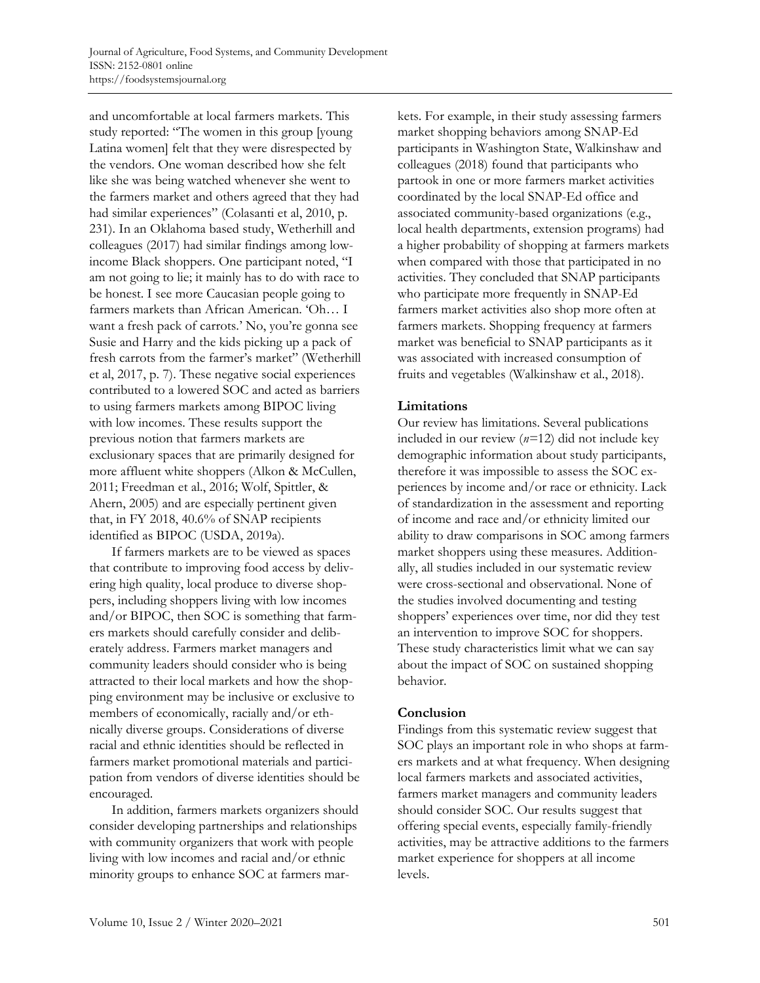and uncomfortable at local farmers markets. This study reported: "The women in this group [young Latina women] felt that they were disrespected by the vendors. One woman described how she felt like she was being watched whenever she went to the farmers market and others agreed that they had had similar experiences" (Colasanti et al, 2010, p. 231). In an Oklahoma based study, Wetherhill and colleagues (2017) had similar findings among lowincome Black shoppers. One participant noted, "I am not going to lie; it mainly has to do with race to be honest. I see more Caucasian people going to farmers markets than African American. 'Oh… I want a fresh pack of carrots.' No, you're gonna see Susie and Harry and the kids picking up a pack of fresh carrots from the farmer's market" (Wetherhill et al, 2017, p. 7). These negative social experiences contributed to a lowered SOC and acted as barriers to using farmers markets among BIPOC living with low incomes. These results support the previous notion that farmers markets are exclusionary spaces that are primarily designed for more affluent white shoppers (Alkon & McCullen, 2011; Freedman et al., 2016; Wolf, Spittler, & Ahern, 2005) and are especially pertinent given that, in FY 2018, 40.6% of SNAP recipients identified as BIPOC (USDA, 2019a).

If farmers markets are to be viewed as spaces that contribute to improving food access by delivering high quality, local produce to diverse shoppers, including shoppers living with low incomes and/or BIPOC, then SOC is something that farmers markets should carefully consider and deliberately address. Farmers market managers and community leaders should consider who is being attracted to their local markets and how the shopping environment may be inclusive or exclusive to members of economically, racially and/or ethnically diverse groups. Considerations of diverse racial and ethnic identities should be reflected in farmers market promotional materials and participation from vendors of diverse identities should be encouraged.

In addition, farmers markets organizers should consider developing partnerships and relationships with community organizers that work with people living with low incomes and racial and/or ethnic minority groups to enhance SOC at farmers markets. For example, in their study assessing farmers market shopping behaviors among SNAP-Ed participants in Washington State, Walkinshaw and colleagues (2018) found that participants who partook in one or more farmers market activities coordinated by the local SNAP-Ed office and associated community-based organizations (e.g., local health departments, extension programs) had a higher probability of shopping at farmers markets when compared with those that participated in no activities. They concluded that SNAP participants who participate more frequently in SNAP-Ed farmers market activities also shop more often at farmers markets. Shopping frequency at farmers market was beneficial to SNAP participants as it was associated with increased consumption of fruits and vegetables (Walkinshaw et al., 2018).

# **Limitations**

Our review has limitations. Several publications included in our review (*n=*12) did not include key demographic information about study participants, therefore it was impossible to assess the SOC experiences by income and/or race or ethnicity. Lack of standardization in the assessment and reporting of income and race and/or ethnicity limited our ability to draw comparisons in SOC among farmers market shoppers using these measures. Additionally, all studies included in our systematic review were cross-sectional and observational. None of the studies involved documenting and testing shoppers' experiences over time, nor did they test an intervention to improve SOC for shoppers. These study characteristics limit what we can say about the impact of SOC on sustained shopping behavior.

## **Conclusion**

Findings from this systematic review suggest that SOC plays an important role in who shops at farmers markets and at what frequency. When designing local farmers markets and associated activities, farmers market managers and community leaders should consider SOC. Our results suggest that offering special events, especially family-friendly activities, may be attractive additions to the farmers market experience for shoppers at all income levels.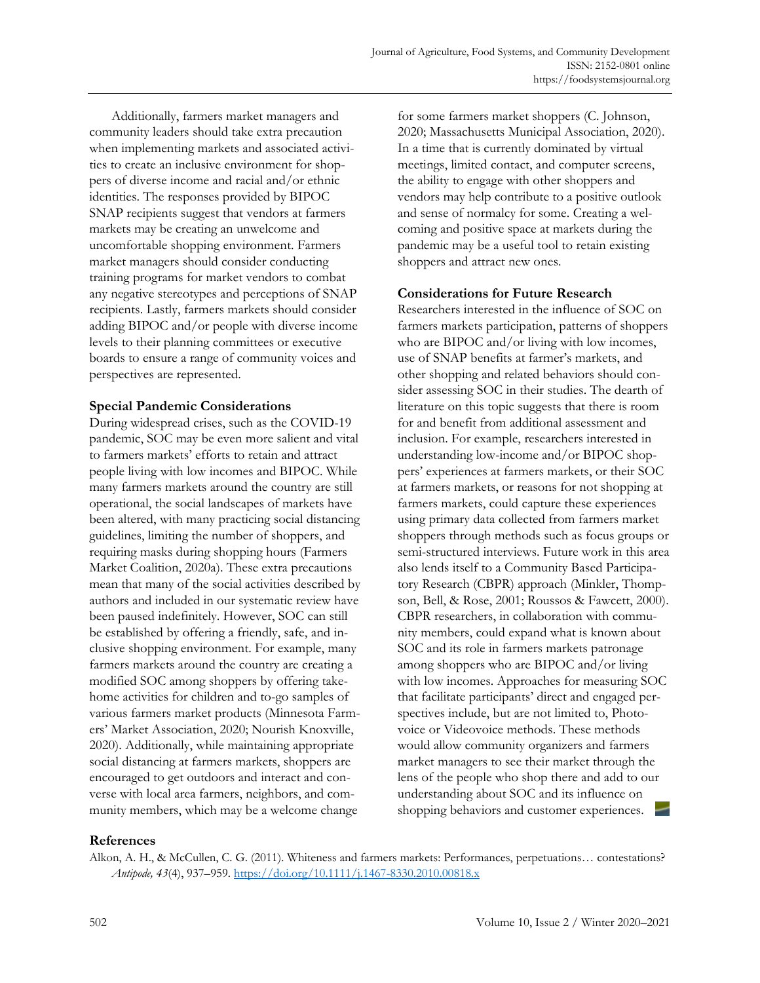Additionally, farmers market managers and community leaders should take extra precaution when implementing markets and associated activities to create an inclusive environment for shoppers of diverse income and racial and/or ethnic identities. The responses provided by BIPOC SNAP recipients suggest that vendors at farmers markets may be creating an unwelcome and uncomfortable shopping environment. Farmers market managers should consider conducting training programs for market vendors to combat any negative stereotypes and perceptions of SNAP recipients. Lastly, farmers markets should consider adding BIPOC and/or people with diverse income levels to their planning committees or executive boards to ensure a range of community voices and perspectives are represented.

## **Special Pandemic Considerations**

During widespread crises, such as the COVID-19 pandemic, SOC may be even more salient and vital to farmers markets' efforts to retain and attract people living with low incomes and BIPOC. While many farmers markets around the country are still operational, the social landscapes of markets have been altered, with many practicing social distancing guidelines, limiting the number of shoppers, and requiring masks during shopping hours (Farmers Market Coalition, 2020a). These extra precautions mean that many of the social activities described by authors and included in our systematic review have been paused indefinitely. However, SOC can still be established by offering a friendly, safe, and inclusive shopping environment. For example, many farmers markets around the country are creating a modified SOC among shoppers by offering takehome activities for children and to-go samples of various farmers market products (Minnesota Farmers' Market Association, 2020; Nourish Knoxville, 2020). Additionally, while maintaining appropriate social distancing at farmers markets, shoppers are encouraged to get outdoors and interact and converse with local area farmers, neighbors, and community members, which may be a welcome change

for some farmers market shoppers (C. Johnson, 2020; Massachusetts Municipal Association, 2020). In a time that is currently dominated by virtual meetings, limited contact, and computer screens, the ability to engage with other shoppers and vendors may help contribute to a positive outlook and sense of normalcy for some. Creating a welcoming and positive space at markets during the pandemic may be a useful tool to retain existing shoppers and attract new ones.

# **Considerations for Future Research**

Researchers interested in the influence of SOC on farmers markets participation, patterns of shoppers who are BIPOC and/or living with low incomes, use of SNAP benefits at farmer's markets, and other shopping and related behaviors should consider assessing SOC in their studies. The dearth of literature on this topic suggests that there is room for and benefit from additional assessment and inclusion. For example, researchers interested in understanding low-income and/or BIPOC shoppers' experiences at farmers markets, or their SOC at farmers markets, or reasons for not shopping at farmers markets, could capture these experiences using primary data collected from farmers market shoppers through methods such as focus groups or semi-structured interviews. Future work in this area also lends itself to a Community Based Participatory Research (CBPR) approach (Minkler, Thompson, Bell, & Rose, 2001; Roussos & Fawcett, 2000). CBPR researchers, in collaboration with community members, could expand what is known about SOC and its role in farmers markets patronage among shoppers who are BIPOC and/or living with low incomes. Approaches for measuring SOC that facilitate participants' direct and engaged perspectives include, but are not limited to, Photovoice or Videovoice methods. These methods would allow community organizers and farmers market managers to see their market through the lens of the people who shop there and add to our understanding about SOC and its influence on shopping behaviors and customer experiences.

## **References**

Alkon, A. H., & McCullen, C. G. (2011). Whiteness and farmers markets: Performances, perpetuations… contestations? *Antipode, 43*(4), 937–959.<https://doi.org/10.1111/j.1467-8330.2010.00818.x>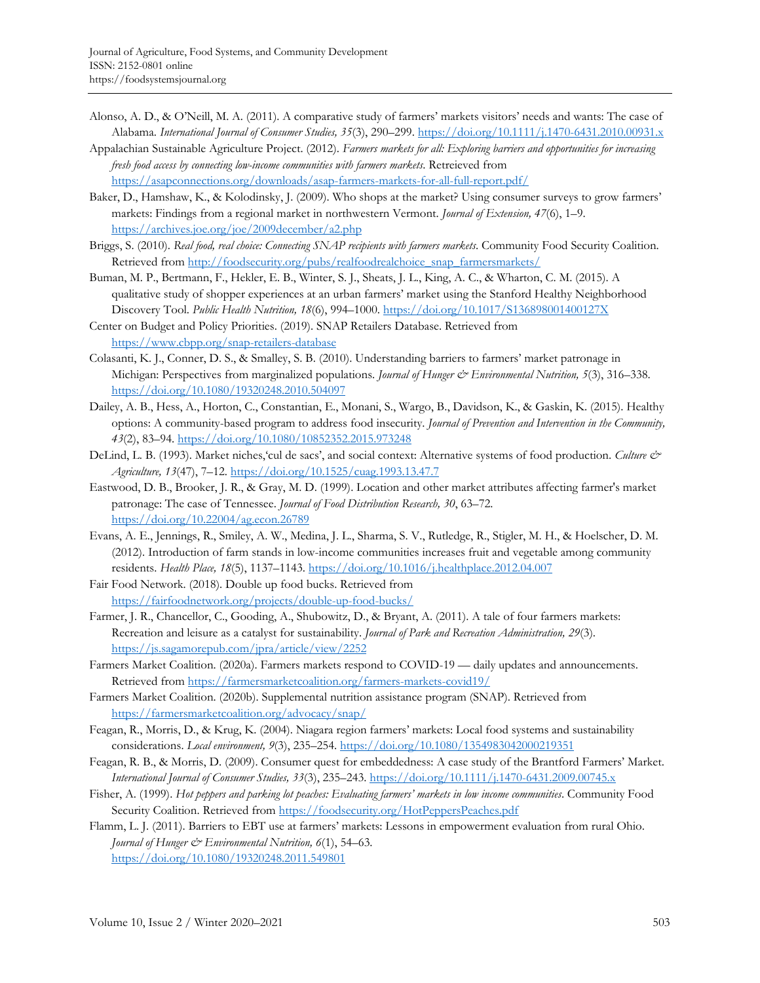- Alonso, A. D., & O'Neill, M. A. (2011). A comparative study of farmers' markets visitors' needs and wants: The case of Alabama. *International Journal of Consumer Studies, 35*(3), 290–299[. https://doi.org/10.1111/j.1470-6431.2010.00931.x](https://doi.org/10.1111/j.1470-6431.2010.00931.x)
- Appalachian Sustainable Agriculture Project. (2012). *Farmers markets for all: Exploring barriers and opportunities for increasing fresh food access by connecting low-income communities with farmers markets*. Retreieved from <https://asapconnections.org/downloads/asap-farmers-markets-for-all-full-report.pdf/>

Baker, D., Hamshaw, K., & Kolodinsky, J. (2009). Who shops at the market? Using consumer surveys to grow farmers' markets: Findings from a regional market in northwestern Vermont. *Journal of Extension, 47*(6), 1–9. <https://archives.joe.org/joe/2009december/a2.php>

- Briggs, S. (2010). *Real food, real choice: Connecting SNAP recipients with farmers markets*. Community Food Security Coalition. Retrieved from [http://foodsecurity.org/pubs/realfoodrealchoice\\_snap\\_farmersmarkets/](http://foodsecurity.org/pubs/realfoodrealchoice_snap_farmersmarkets/)
- Buman, M. P., Bertmann, F., Hekler, E. B., Winter, S. J., Sheats, J. L., King, A. C., & Wharton, C. M. (2015). A qualitative study of shopper experiences at an urban farmers' market using the Stanford Healthy Neighborhood Discovery Tool. *Public Health Nutrition, 18*(6), 994–1000[. https://doi.org/10.1017/S136898001400127X](https://doi.org/10.1017/S136898001400127X)
- Center on Budget and Policy Priorities. (2019). SNAP Retailers Database. Retrieved from <https://www.cbpp.org/snap-retailers-database>
- Colasanti, K. J., Conner, D. S., & Smalley, S. B. (2010). Understanding barriers to farmers' market patronage in Michigan: Perspectives from marginalized populations. *Journal of Hunger & Environmental Nutrition*, 5(3), 316-338. <https://doi.org/10.1080/19320248.2010.504097>
- Dailey, A. B., Hess, A., Horton, C., Constantian, E., Monani, S., Wargo, B., Davidson, K., & Gaskin, K. (2015). Healthy options: A community-based program to address food insecurity. *Journal of Prevention and Intervention in the Community, 43*(2), 83–94.<https://doi.org/10.1080/10852352.2015.973248>
- DeLind, L. B. (1993). Market niches,'cul de sacs', and social context: Alternative systems of food production. *Culture & Agriculture, 13*(47), 7–12[. https://doi.org/10.1525/cuag.1993.13.47.7](https://doi.org/10.1525/cuag.1993.13.47.7)
- Eastwood, D. B., Brooker, J. R., & Gray, M. D. (1999). Location and other market attributes affecting farmer's market patronage: The case of Tennessee. *Journal of Food Distribution Research, 30*, 63–72. <https://doi.org/10.22004/ag.econ.26789>
- Evans, A. E., Jennings, R., Smiley, A. W., Medina, J. L., Sharma, S. V., Rutledge, R., Stigler, M. H., & Hoelscher, D. M. (2012). Introduction of farm stands in low-income communities increases fruit and vegetable among community residents. *Health Place, 18*(5), 1137–1143[. https://doi.org/10.1016/j.healthplace.2012.04.007](https://doi.org/10.1016/j.healthplace.2012.04.007)
- Fair Food Network. (2018). Double up food bucks. Retrieved from <https://fairfoodnetwork.org/projects/double-up-food-bucks/>
- Farmer, J. R., Chancellor, C., Gooding, A., Shubowitz, D., & Bryant, A. (2011). A tale of four farmers markets: Recreation and leisure as a catalyst for sustainability. *Journal of Park and Recreation Administration, 29*(3). <https://js.sagamorepub.com/jpra/article/view/2252>
- Farmers Market Coalition. (2020a). Farmers markets respond to COVID-19 daily updates and announcements. Retrieved from<https://farmersmarketcoalition.org/farmers-markets-covid19/>
- Farmers Market Coalition. (2020b). Supplemental nutrition assistance program (SNAP). Retrieved from <https://farmersmarketcoalition.org/advocacy/snap/>
- Feagan, R., Morris, D., & Krug, K. (2004). Niagara region farmers' markets: Local food systems and sustainability considerations. *Local environment, 9*(3), 235–254.<https://doi.org/10.1080/1354983042000219351>
- Feagan, R. B., & Morris, D. (2009). Consumer quest for embeddedness: A case study of the Brantford Farmers' Market. *International Journal of Consumer Studies, 33*(3), 235–243.<https://doi.org/10.1111/j.1470-6431.2009.00745.x>
- Fisher, A. (1999). *Hot peppers and parking lot peaches: Evaluating farmers' markets in low income communities*. Community Food Security Coalition. Retrieved from<https://foodsecurity.org/HotPeppersPeaches.pdf>

Flamm, L. J. (2011). Barriers to EBT use at farmers' markets: Lessons in empowerment evaluation from rural Ohio. *Journal of Hunger & Environmental Nutrition, 6*(1), 54–63. <https://doi.org/10.1080/19320248.2011.549801>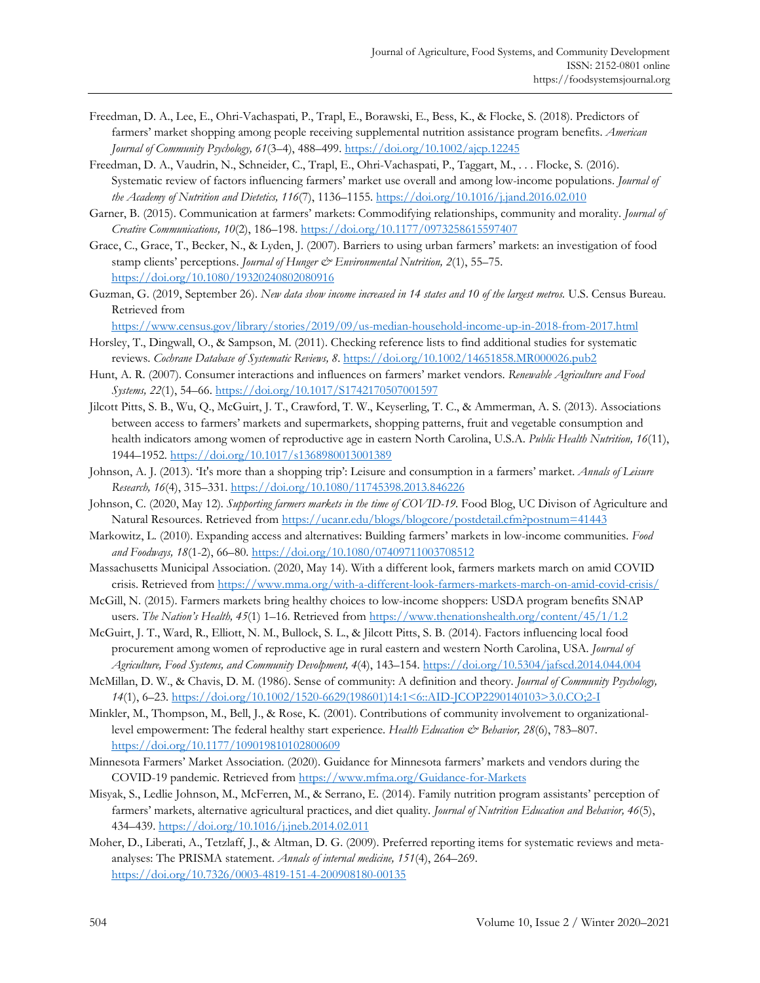- Freedman, D. A., Lee, E., Ohri-Vachaspati, P., Trapl, E., Borawski, E., Bess, K., & Flocke, S. (2018). Predictors of farmers' market shopping among people receiving supplemental nutrition assistance program benefits. *American Journal of Community Psychology, 61*(3–4), 488–499.<https://doi.org/10.1002/ajcp.12245>
- Freedman, D. A., Vaudrin, N., Schneider, C., Trapl, E., Ohri-Vachaspati, P., Taggart, M., . . . Flocke, S. (2016). Systematic review of factors influencing farmers' market use overall and among low-income populations. *Journal of the Academy of Nutrition and Dietetics, 116*(7), 1136–1155.<https://doi.org/10.1016/j.jand.2016.02.010>
- Garner, B. (2015). Communication at farmers' markets: Commodifying relationships, community and morality. *Journal of Creative Communications, 10*(2), 186–198.<https://doi.org/10.1177/0973258615597407>
- Grace, C., Grace, T., Becker, N., & Lyden, J. (2007). Barriers to using urban farmers' markets: an investigation of food stamp clients' perceptions. *Journal of Hunger & Environmental Nutrition*, 2(1), 55–75. <https://doi.org/10.1080/19320240802080916>
- Guzman, G. (2019, September 26). *New data show income increased in 14 states and 10 of the largest metros.* U.S. Census Bureau. Retrieved from

<https://www.census.gov/library/stories/2019/09/us-median-household-income-up-in-2018-from-2017.html>

- Horsley, T., Dingwall, O., & Sampson, M. (2011). Checking reference lists to find additional studies for systematic reviews. *Cochrane Database of Systematic Reviews, 8*. <https://doi.org/10.1002/14651858.MR000026.pub2>
- Hunt, A. R. (2007). Consumer interactions and influences on farmers' market vendors. *Renewable Agriculture and Food Systems, 22*(1), 54–66[. https://doi.org/10.1017/S1742170507001597](https://doi.org/10.1017/S1742170507001597)
- Jilcott Pitts, S. B., Wu, Q., McGuirt, J. T., Crawford, T. W., Keyserling, T. C., & Ammerman, A. S. (2013). Associations between access to farmers' markets and supermarkets, shopping patterns, fruit and vegetable consumption and health indicators among women of reproductive age in eastern North Carolina, U.S.A. *Public Health Nutrition, 16*(11), 1944–1952.<https://doi.org/10.1017/s1368980013001389>
- Johnson, A. J. (2013). 'It's more than a shopping trip': Leisure and consumption in a farmers' market. *Annals of Leisure Research, 16*(4), 315–331.<https://doi.org/10.1080/11745398.2013.846226>
- Johnson, C. (2020, May 12)*. Supporting farmers markets in the time of COVID-19*. Food Blog, UC Divison of Agriculture and Natural Resources. Retrieved from<https://ucanr.edu/blogs/blogcore/postdetail.cfm?postnum=41443>
- Markowitz, L. (2010). Expanding access and alternatives: Building farmers' markets in low-income communities. *Food and Foodways, 18*(1-2), 66–80.<https://doi.org/10.1080/07409711003708512>
- Massachusetts Municipal Association. (2020, May 14). With a different look, farmers markets march on amid COVID crisis. Retrieved from<https://www.mma.org/with-a-different-look-farmers-markets-march-on-amid-covid-crisis/>
- McGill, N. (2015). Farmers markets bring healthy choices to low-income shoppers: USDA program benefits SNAP users. *The Nation's Health, 45*(1) 1–16. Retrieved fro[m https://www.thenationshealth.org/content/45/1/1.2](https://www.thenationshealth.org/content/45/1/1.2)
- McGuirt, J. T., Ward, R., Elliott, N. M., Bullock, S. L., & Jilcott Pitts, S. B. (2014). Factors influencing local food procurement among women of reproductive age in rural eastern and western North Carolina, USA. *Journal of Agriculture, Food Systems, and Community Devolpment, 4*(4), 143–154[. https://doi.org/10.5304/jafscd.2014.044.004](https://doi.org/10.5304/jafscd.2014.044.004)
- McMillan, D. W., & Chavis, D. M. (1986). Sense of community: A definition and theory. *Journal of Community Psychology, 14*(1), 6–23. [https://doi.org/10.1002/1520-6629\(198601\)14:1<6::AID-JCOP2290140103>3.0.CO;2-I](https://doi.org/10.1002/1520-6629(198601)14:1%3c6::AID-JCOP2290140103%3e3.0.CO;2-I)
- Minkler, M., Thompson, M., Bell, J., & Rose, K. (2001). Contributions of community involvement to organizationallevel empowerment: The federal healthy start experience. *Health Education & Behavior, 28*(6), 783–807. <https://doi.org/10.1177/109019810102800609>
- Minnesota Farmers' Market Association. (2020). Guidance for Minnesota farmers' markets and vendors during the COVID-19 pandemic. Retrieved from<https://www.mfma.org/Guidance-for-Markets>
- Misyak, S., Ledlie Johnson, M., McFerren, M., & Serrano, E. (2014). Family nutrition program assistants' perception of farmers' markets, alternative agricultural practices, and diet quality. *Journal of Nutrition Education and Behavior, 46*(5), 434–439.<https://doi.org/10.1016/j.jneb.2014.02.011>
- Moher, D., Liberati, A., Tetzlaff, J., & Altman, D. G. (2009). Preferred reporting items for systematic reviews and metaanalyses: The PRISMA statement. *Annals of internal medicine, 151*(4), 264–269. <https://doi.org/10.7326/0003-4819-151-4-200908180-00135>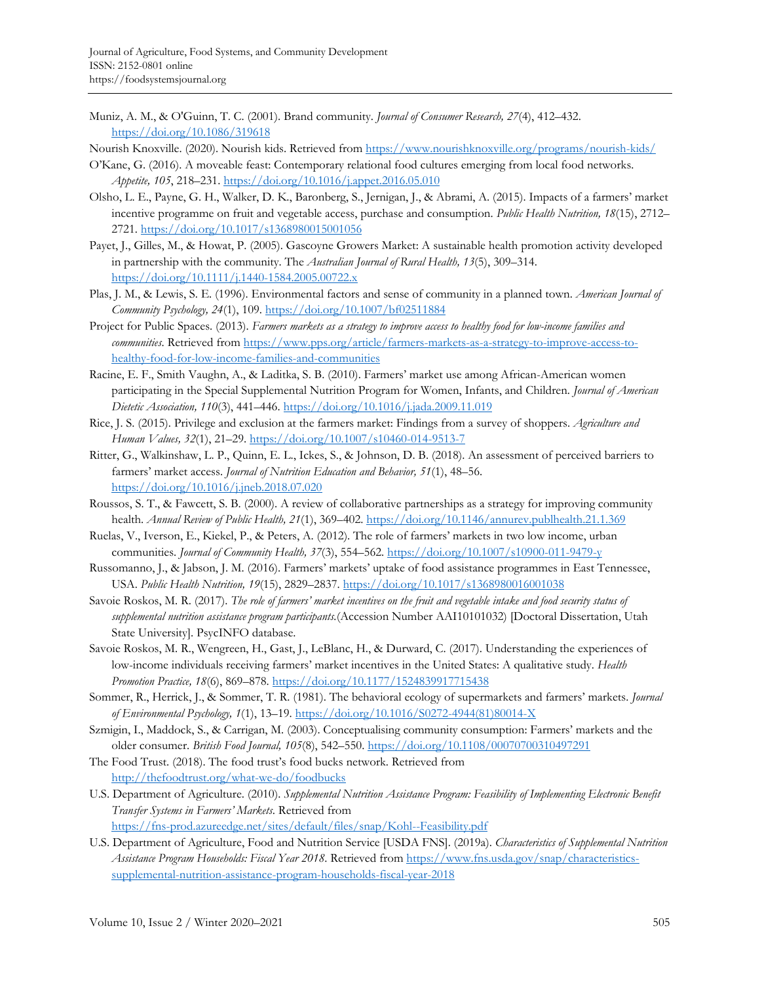Muniz, A. M., & O'Guinn, T. C. (2001). Brand community. *Journal of Consumer Research, 27*(4), 412–432. <https://doi.org/10.1086/319618>

Nourish Knoxville. (2020). Nourish kids. Retrieved fro[m https://www.nourishknoxville.org/programs/nourish-kids/](https://www.nourishknoxville.org/programs/nourish-kids/)

- O'Kane, G. (2016). A moveable feast: Contemporary relational food cultures emerging from local food networks. *Appetite, 105*, 218–231.<https://doi.org/10.1016/j.appet.2016.05.010>
- Olsho, L. E., Payne, G. H., Walker, D. K., Baronberg, S., Jernigan, J., & Abrami, A. (2015). Impacts of a farmers' market incentive programme on fruit and vegetable access, purchase and consumption. *Public Health Nutrition, 18*(15), 2712– 2721.<https://doi.org/10.1017/s1368980015001056>
- Payet, J., Gilles, M., & Howat, P. (2005). Gascoyne Growers Market: A sustainable health promotion activity developed in partnership with the community. The *Australian Journal of Rural Health, 13*(5), 309–314. <https://doi.org/10.1111/j.1440-1584.2005.00722.x>
- Plas, J. M., & Lewis, S. E. (1996). Environmental factors and sense of community in a planned town. *American Journal of Community Psychology, 24*(1), 109.<https://doi.org/10.1007/bf02511884>
- Project for Public Spaces. (2013). *Farmers markets as a strategy to improve access to healthy food for low-income families and communities*. Retrieved from [https://www.pps.org/article/farmers-markets-as-a-strategy-to-improve-access-to](https://www.pps.org/article/farmers-markets-as-a-strategy-to-improve-access-to-healthy-food-for-low-income-families-and-communities)[healthy-food-for-low-income-families-and-communities](https://www.pps.org/article/farmers-markets-as-a-strategy-to-improve-access-to-healthy-food-for-low-income-families-and-communities)
- Racine, E. F., Smith Vaughn, A., & Laditka, S. B. (2010). Farmers' market use among African-American women participating in the Special Supplemental Nutrition Program for Women, Infants, and Children. *Journal of American Dietetic Association, 110*(3), 441–446.<https://doi.org/10.1016/j.jada.2009.11.019>
- Rice, J. S. (2015). Privilege and exclusion at the farmers market: Findings from a survey of shoppers. *Agriculture and Human Values, 32*(1), 21–29.<https://doi.org/10.1007/s10460-014-9513-7>
- Ritter, G., Walkinshaw, L. P., Quinn, E. L., Ickes, S., & Johnson, D. B. (2018). An assessment of perceived barriers to farmers' market access. *Journal of Nutrition Education and Behavior, 51*(1), 48–56. <https://doi.org/10.1016/j.jneb.2018.07.020>
- Roussos, S. T., & Fawcett, S. B. (2000). A review of collaborative partnerships as a strategy for improving community health. *Annual Review of Public Health, 21*(1), 369–402. <https://doi.org/10.1146/annurev.publhealth.21.1.369>
- Ruelas, V., Iverson, E., Kiekel, P., & Peters, A. (2012). The role of farmers' markets in two low income, urban communities. *Journal of Community Health, 37*(3), 554–562.<https://doi.org/10.1007/s10900-011-9479-y>
- Russomanno, J., & Jabson, J. M. (2016). Farmers' markets' uptake of food assistance programmes in East Tennessee, USA. *Public Health Nutrition, 19*(15), 2829–2837.<https://doi.org/10.1017/s1368980016001038>
- Savoie Roskos, M. R. (2017). *The role of farmers' market incentives on the fruit and vegetable intake and food security status of supplemental nutrition assistance program participants.*(Accession Number AAI10101032) [Doctoral Dissertation, Utah State University]. PsycINFO database.
- Savoie Roskos, M. R., Wengreen, H., Gast, J., LeBlanc, H., & Durward, C. (2017). Understanding the experiences of low-income individuals receiving farmers' market incentives in the United States: A qualitative study. *Health Promotion Practice, 18*(6), 869–878.<https://doi.org/10.1177/1524839917715438>
- Sommer, R., Herrick, J., & Sommer, T. R. (1981). The behavioral ecology of supermarkets and farmers' markets. *Journal of Environmental Psychology, 1*(1), 13–19. [https://doi.org/10.1016/S0272-4944\(81\)80014-X](https://doi.org/10.1016/S0272-4944(81)80014-X)
- Szmigin, I., Maddock, S., & Carrigan, M. (2003). Conceptualising community consumption: Farmers' markets and the older consumer. *British Food Journal, 105*(8), 542–550.<https://doi.org/10.1108/00070700310497291>
- The Food Trust. (2018). The food trust's food bucks network. Retrieved from <http://thefoodtrust.org/what-we-do/foodbucks>
- U.S. Department of Agriculture. (2010). *Supplemental Nutrition Assistance Program: Feasibility of Implementing Electronic Benefit Transfer Systems in Farmers' Markets*. Retrieved from <https://fns-prod.azureedge.net/sites/default/files/snap/Kohl--Feasibility.pdf>
- U.S. Department of Agriculture, Food and Nutrition Service [USDA FNS]. (2019a). *Characteristics of Supplemental Nutrition Assistance Program Households: Fiscal Year 2018*. Retrieved fro[m https://www.fns.usda.gov/snap/characteristics](https://www.fns.usda.gov/snap/characteristics-supplemental-nutrition-assistance-program-households-fiscal-year-2018)[supplemental-nutrition-assistance-program-households-fiscal-year-2018](https://www.fns.usda.gov/snap/characteristics-supplemental-nutrition-assistance-program-households-fiscal-year-2018)